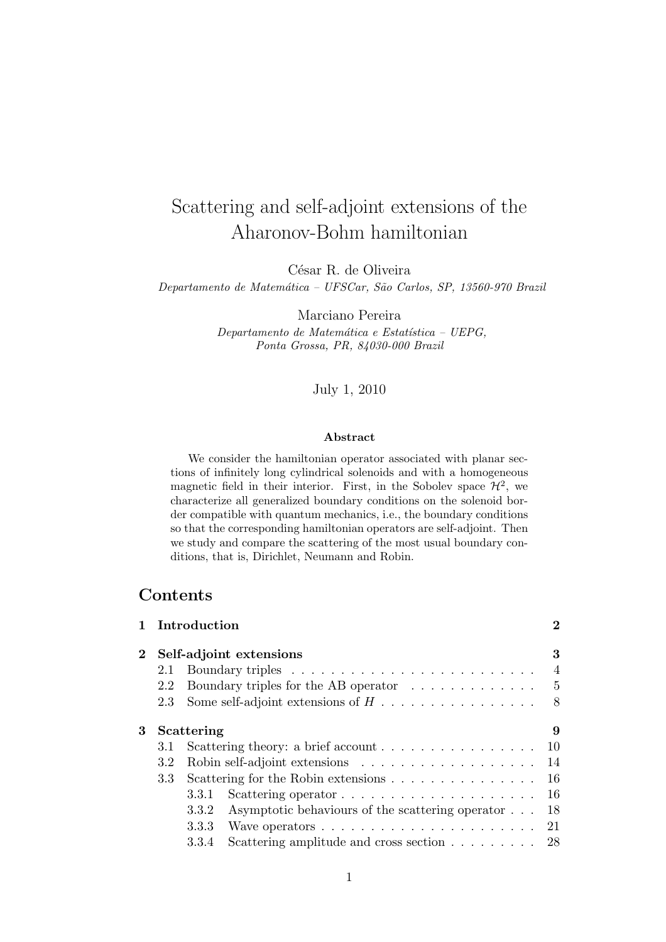# Scattering and self-adjoint extensions of the Aharonov-Bohm hamiltonian

César R. de Oliveira

Departamento de Matemática - UFSCar, São Carlos, SP, 13560-970 Brazil

Marciano Pereira

Departamento de Matemática e Estatística - UEPG, Ponta Grossa, PR, 84030-000 Brazil

### July 1, 2010

### Abstract

We consider the hamiltonian operator associated with planar sections of infinitely long cylindrical solenoids and with a homogeneous magnetic field in their interior. First, in the Sobolev space  $\mathcal{H}^2$ , we characterize all generalized boundary conditions on the solenoid border compatible with quantum mechanics, i.e., the boundary conditions so that the corresponding hamiltonian operators are self-adjoint. Then we study and compare the scattering of the most usual boundary conditions, that is, Dirichlet, Neumann and Robin.

# **Contents**

|                  |                                                                    | $\bf{2}$                                                                                                                                                                                                                                                                                                                                                                                                                                                                                                                    |
|------------------|--------------------------------------------------------------------|-----------------------------------------------------------------------------------------------------------------------------------------------------------------------------------------------------------------------------------------------------------------------------------------------------------------------------------------------------------------------------------------------------------------------------------------------------------------------------------------------------------------------------|
|                  |                                                                    | 3                                                                                                                                                                                                                                                                                                                                                                                                                                                                                                                           |
| 2.1              |                                                                    | 4                                                                                                                                                                                                                                                                                                                                                                                                                                                                                                                           |
| 2.2              | Boundary triples for the AB operator $\ldots \ldots \ldots \ldots$ | $5^{\circ}$                                                                                                                                                                                                                                                                                                                                                                                                                                                                                                                 |
| 2.3              | Some self-adjoint extensions of $H \dots \dots \dots \dots \dots$  | 8                                                                                                                                                                                                                                                                                                                                                                                                                                                                                                                           |
|                  |                                                                    | 9                                                                                                                                                                                                                                                                                                                                                                                                                                                                                                                           |
| 3.1              |                                                                    | 10                                                                                                                                                                                                                                                                                                                                                                                                                                                                                                                          |
| 3.2              |                                                                    |                                                                                                                                                                                                                                                                                                                                                                                                                                                                                                                             |
| 3.3 <sub>1</sub> |                                                                    |                                                                                                                                                                                                                                                                                                                                                                                                                                                                                                                             |
|                  | 3.3.1                                                              | 16                                                                                                                                                                                                                                                                                                                                                                                                                                                                                                                          |
|                  | Asymptotic behaviours of the scattering operator $\dots$<br>3.3.2  | 18                                                                                                                                                                                                                                                                                                                                                                                                                                                                                                                          |
|                  | 3.3.3                                                              |                                                                                                                                                                                                                                                                                                                                                                                                                                                                                                                             |
|                  | 3.3.4                                                              |                                                                                                                                                                                                                                                                                                                                                                                                                                                                                                                             |
|                  |                                                                    | 1 Introduction<br>Self-adjoint extensions<br>Scattering<br>Scattering theory: a brief account $\ldots \ldots \ldots \ldots \ldots$<br>Robin self-adjoint extensions $\ldots \ldots \ldots \ldots \ldots \ldots 14$<br>Scattering for the Robin extensions $\ldots \ldots \ldots \ldots \ldots 16$<br>Scattering operator $\dots \dots \dots \dots \dots \dots \dots$<br>Wave operators $\dots \dots \dots \dots \dots \dots \dots \dots \dots \dots 21$<br>Scattering amplitude and cross section $\ldots \ldots \ldots$ 28 |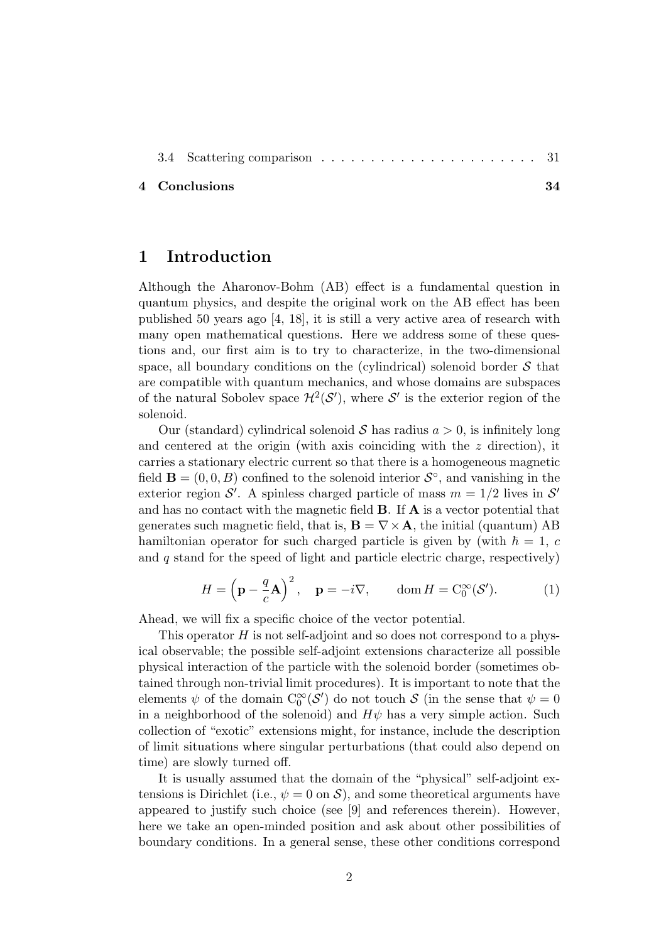|--|--|--|--|--|--|--|--|--|--|--|--|--|--|--|--|--|--|--|--|--|--|--|--|--|

#### 4 Conclusions 34

### 1 Introduction

Although the Aharonov-Bohm (AB) effect is a fundamental question in quantum physics, and despite the original work on the AB effect has been published 50 years ago [4, 18], it is still a very active area of research with many open mathematical questions. Here we address some of these questions and, our first aim is to try to characterize, in the two-dimensional space, all boundary conditions on the (cylindrical) solenoid border  $S$  that are compatible with quantum mechanics, and whose domains are subspaces of the natural Sobolev space  $\mathcal{H}^2(\mathcal{S}')$ , where  $\mathcal{S}'$  is the exterior region of the solenoid.

Our (standard) cylindrical solenoid S has radius  $a > 0$ , is infinitely long and centered at the origin (with axis coinciding with the  $z$  direction), it carries a stationary electric current so that there is a homogeneous magnetic field  $\mathbf{B} = (0, 0, B)$  confined to the solenoid interior  $\mathcal{S}^{\circ}$ , and vanishing in the exterior region S'. A spinless charged particle of mass  $m = 1/2$  lives in S' and has no contact with the magnetic field B. If A is a vector potential that generates such magnetic field, that is,  $\mathbf{B} = \nabla \times \mathbf{A}$ , the initial (quantum) AB hamiltonian operator for such charged particle is given by (with  $\hbar = 1, c$ and  $q$  stand for the speed of light and particle electric charge, respectively)

$$
H = \left(\mathbf{p} - \frac{q}{c}\mathbf{A}\right)^2, \quad \mathbf{p} = -i\nabla, \qquad \text{dom}\, H = \text{C}_0^{\infty}(\mathcal{S}'). \tag{1}
$$

Ahead, we will fix a specific choice of the vector potential.

This operator  $H$  is not self-adjoint and so does not correspond to a physical observable; the possible self-adjoint extensions characterize all possible physical interaction of the particle with the solenoid border (sometimes obtained through non-trivial limit procedures). It is important to note that the elements  $\psi$  of the domain  $C_0^{\infty}(S')$  do not touch S (in the sense that  $\psi = 0$ in a neighborhood of the solenoid) and  $H\psi$  has a very simple action. Such collection of "exotic" extensions might, for instance, include the description of limit situations where singular perturbations (that could also depend on time) are slowly turned off.

It is usually assumed that the domain of the "physical" self-adjoint extensions is Dirichlet (i.e.,  $\psi = 0$  on S), and some theoretical arguments have appeared to justify such choice (see [9] and references therein). However, here we take an open-minded position and ask about other possibilities of boundary conditions. In a general sense, these other conditions correspond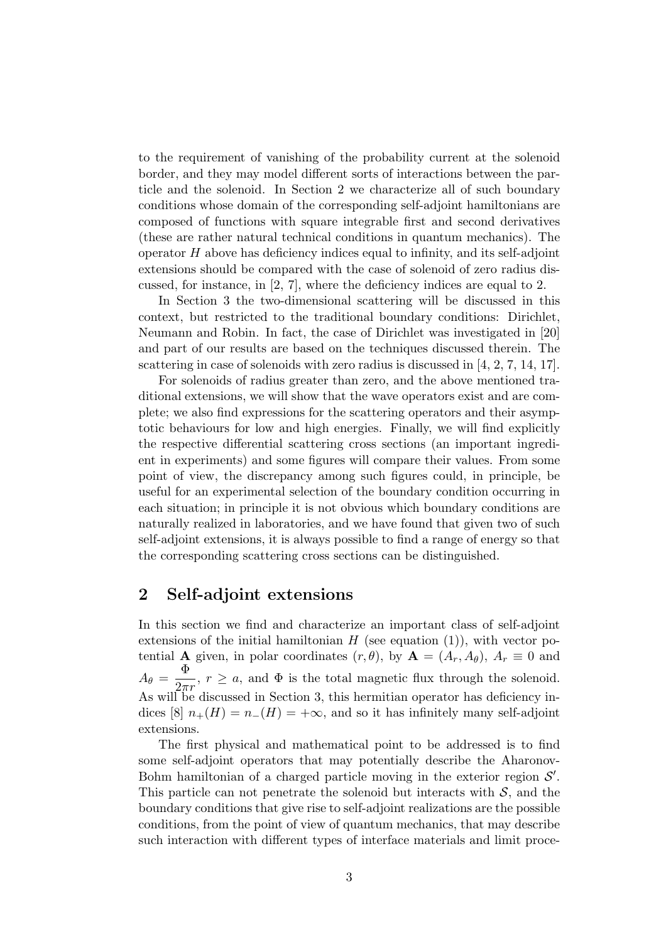to the requirement of vanishing of the probability current at the solenoid border, and they may model different sorts of interactions between the particle and the solenoid. In Section 2 we characterize all of such boundary conditions whose domain of the corresponding self-adjoint hamiltonians are composed of functions with square integrable first and second derivatives (these are rather natural technical conditions in quantum mechanics). The operator  $H$  above has deficiency indices equal to infinity, and its self-adjoint extensions should be compared with the case of solenoid of zero radius discussed, for instance, in [2, 7], where the deficiency indices are equal to 2.

In Section 3 the two-dimensional scattering will be discussed in this context, but restricted to the traditional boundary conditions: Dirichlet, Neumann and Robin. In fact, the case of Dirichlet was investigated in [20] and part of our results are based on the techniques discussed therein. The scattering in case of solenoids with zero radius is discussed in [4, 2, 7, 14, 17].

For solenoids of radius greater than zero, and the above mentioned traditional extensions, we will show that the wave operators exist and are complete; we also find expressions for the scattering operators and their asymptotic behaviours for low and high energies. Finally, we will find explicitly the respective differential scattering cross sections (an important ingredient in experiments) and some figures will compare their values. From some point of view, the discrepancy among such figures could, in principle, be useful for an experimental selection of the boundary condition occurring in each situation; in principle it is not obvious which boundary conditions are naturally realized in laboratories, and we have found that given two of such self-adjoint extensions, it is always possible to find a range of energy so that the corresponding scattering cross sections can be distinguished.

# 2 Self-adjoint extensions

In this section we find and characterize an important class of self-adjoint extensions of the initial hamiltonian  $H$  (see equation (1)), with vector potential **A** given, in polar coordinates  $(r, \theta)$ , by  $\mathbf{A} = (A_r, A_\theta), A_r \equiv 0$  and  $A_{\theta} = \frac{\Phi}{2\pi r}$ ,  $r \ge a$ , and  $\Phi$  is the total magnetic flux through the solenoid. As will be discussed in Section 3, this hermitian operator has deficiency indices [8]  $n_{+}(H) = n_{-}(H) = +\infty$ , and so it has infinitely many self-adjoint extensions.

The first physical and mathematical point to be addressed is to find some self-adjoint operators that may potentially describe the Aharonov-Bohm hamiltonian of a charged particle moving in the exterior region  $\mathcal{S}'$ . This particle can not penetrate the solenoid but interacts with  $S$ , and the boundary conditions that give rise to self-adjoint realizations are the possible conditions, from the point of view of quantum mechanics, that may describe such interaction with different types of interface materials and limit proce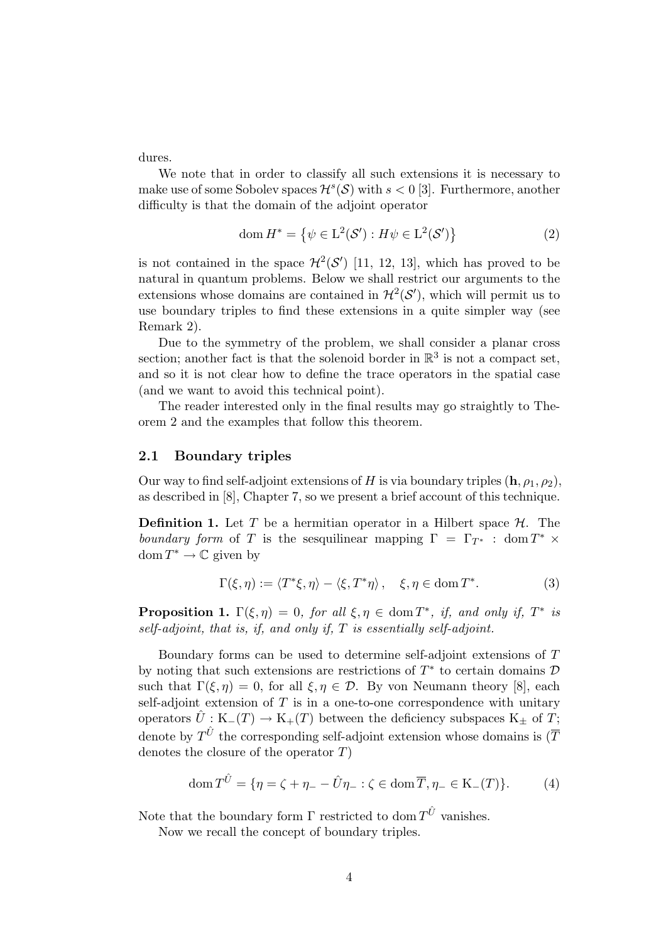dures.

We note that in order to classify all such extensions it is necessary to make use of some Sobolev spaces  $\mathcal{H}^s(\mathcal{S})$  with  $s < 0$  [3]. Furthermore, another difficulty is that the domain of the adjoint operator

$$
\text{dom}\,H^* = \left\{ \psi \in \mathcal{L}^2(\mathcal{S}') : H\psi \in \mathcal{L}^2(\mathcal{S}') \right\} \tag{2}
$$

is not contained in the space  $\mathcal{H}^2(\mathcal{S}')$  [11, 12, 13], which has proved to be natural in quantum problems. Below we shall restrict our arguments to the extensions whose domains are contained in  $\mathcal{H}^2(\mathcal{S}')$ , which will permit us to use boundary triples to find these extensions in a quite simpler way (see Remark 2).

Due to the symmetry of the problem, we shall consider a planar cross section; another fact is that the solenoid border in  $\mathbb{R}^3$  is not a compact set, and so it is not clear how to define the trace operators in the spatial case (and we want to avoid this technical point).

The reader interested only in the final results may go straightly to Theorem 2 and the examples that follow this theorem.

### 2.1 Boundary triples

Our way to find self-adjoint extensions of H is via boundary triples  $(h, \rho_1, \rho_2)$ , as described in [8], Chapter 7, so we present a brief account of this technique.

**Definition 1.** Let T be a hermitian operator in a Hilbert space  $\mathcal{H}$ . The boundary form of T is the sesquilinear mapping  $\Gamma = \Gamma_{T^*}$ : dom  $T^* \times$ dom  $T^* \to \mathbb{C}$  given by

$$
\Gamma(\xi,\eta) := \langle T^*\xi,\eta\rangle - \langle \xi,T^*\eta\rangle, \quad \xi,\eta \in \text{dom}\, T^*.
$$
 (3)

**Proposition 1.**  $\Gamma(\xi, \eta) = 0$ , for all  $\xi, \eta \in \text{dom } T^*$ , if, and only if,  $T^*$  is self-adjoint, that is, if, and only if, T is essentially self-adjoint.

Boundary forms can be used to determine self-adjoint extensions of T by noting that such extensions are restrictions of  $T^*$  to certain domains  $D$ such that  $\Gamma(\xi, \eta) = 0$ , for all  $\xi, \eta \in \mathcal{D}$ . By von Neumann theory [8], each self-adjoint extension of  $T$  is in a one-to-one correspondence with unitary operators  $\hat{U}: K_-(T) \to K_+(T)$  between the deficiency subspaces  $K_{\pm}$  of  $T$ ; denote by  $T^{\hat{U}}$  the corresponding self-adjoint extension whose domains is  $(\overline{T})$ denotes the closure of the operator  $T$ )

$$
\text{dom}\, T^{\hat{U}} = \{ \eta = \zeta + \eta_- - \hat{U}\eta_- : \zeta \in \text{dom}\,\overline{T}, \eta_- \in \text{K}_-(T) \}. \tag{4}
$$

Note that the boundary form  $\Gamma$  restricted to dom  $T^{\hat{U}}$  vanishes.

Now we recall the concept of boundary triples.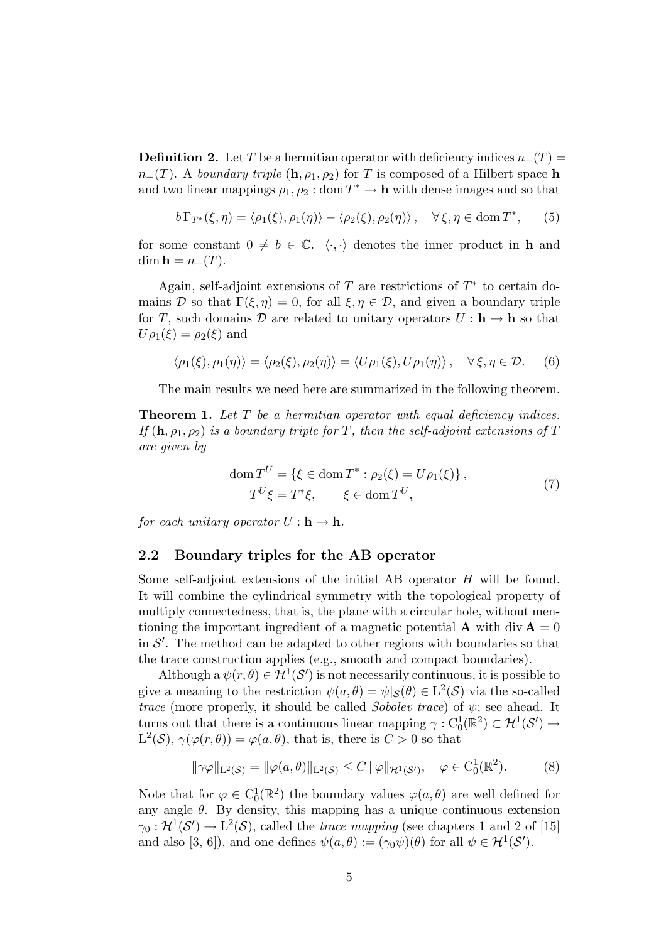**Definition 2.** Let T be a hermitian operator with deficiency indices  $n_{-}(T)$  =  $n_{+}(T)$ . A boundary triple  $(h, \rho_1, \rho_2)$  for T is composed of a Hilbert space h and two linear mappings  $\rho_1, \rho_2 : \text{dom } T^* \to \mathbf{h}$  with dense images and so that

$$
b\Gamma_{T^*}(\xi,\eta) = \langle \rho_1(\xi), \rho_1(\eta) \rangle - \langle \rho_2(\xi), \rho_2(\eta) \rangle, \quad \forall \xi, \eta \in \text{dom}\, T^*, \qquad (5)
$$

for some constant  $0 \neq b \in \mathbb{C}$ .  $\langle \cdot, \cdot \rangle$  denotes the inner product in h and  $\dim \mathbf{h} = n_+(T)$ .

Again, self-adjoint extensions of T are restrictions of  $T^*$  to certain domains D so that  $\Gamma(\xi, \eta) = 0$ , for all  $\xi, \eta \in \mathcal{D}$ , and given a boundary triple for T, such domains D are related to unitary operators  $U : \mathbf{h} \to \mathbf{h}$  so that  $U\rho_1(\xi) = \rho_2(\xi)$  and

$$
\langle \rho_1(\xi), \rho_1(\eta) \rangle = \langle \rho_2(\xi), \rho_2(\eta) \rangle = \langle U \rho_1(\xi), U \rho_1(\eta) \rangle, \quad \forall \xi, \eta \in \mathcal{D}. \tag{6}
$$

The main results we need here are summarized in the following theorem.

**Theorem 1.** Let  $T$  be a hermitian operator with equal deficiency indices. If  $(h, \rho_1, \rho_2)$  is a boundary triple for T, then the self-adjoint extensions of T are given by

$$
\text{dom}\,T^U = \{ \xi \in \text{dom}\,T^* : \rho_2(\xi) = U\rho_1(\xi) \},
$$
\n
$$
T^U \xi = T^* \xi, \qquad \xi \in \text{dom}\,T^U,
$$
\n
$$
(7)
$$

for each unitary operator  $U: \mathbf{h} \to \mathbf{h}$ .

### 2.2 Boundary triples for the AB operator

Some self-adjoint extensions of the initial AB operator H will be found. It will combine the cylindrical symmetry with the topological property of multiply connectedness, that is, the plane with a circular hole, without mentioning the important ingredient of a magnetic potential **A** with div  $A = 0$ in  $\mathcal{S}'$ . The method can be adapted to other regions with boundaries so that the trace construction applies (e.g., smooth and compact boundaries).

Although a  $\psi(r, \theta) \in H^1(\mathcal{S}')$  is not necessarily continuous, it is possible to give a meaning to the restriction  $\psi(a, \theta) = \psi|_{\mathcal{S}}(\theta) \in L^2(\mathcal{S})$  via the so-called trace (more properly, it should be called Sobolev trace) of  $\psi$ ; see ahead. It turns out that there is a continuous linear mapping  $\gamma : C_0^1(\mathbb{R}^2) \subset \mathcal{H}^1(\mathcal{S}') \to$  $L^2(\mathcal{S}), \gamma(\varphi(r, \theta)) = \varphi(a, \theta)$ , that is, there is  $C > 0$  so that

$$
\|\gamma\varphi\|_{\mathcal{L}^2(\mathcal{S})} = \|\varphi(a,\theta)\|_{\mathcal{L}^2(\mathcal{S})} \le C \|\varphi\|_{\mathcal{H}^1(\mathcal{S}'),} \quad \varphi \in C_0^1(\mathbb{R}^2). \tag{8}
$$

Note that for  $\varphi \in C_0^1(\mathbb{R}^2)$  the boundary values  $\varphi(a, \theta)$  are well defined for any angle  $\theta$ . By density, this mapping has a unique continuous extension  $\gamma_0: \mathcal{H}^1(\mathcal{S}') \to L^2(\mathcal{S})$ , called the *trace mapping* (see chapters 1 and 2 of [15] and also [3, 6]), and one defines  $\psi(a,\theta) := (\gamma_0 \psi)(\theta)$  for all  $\psi \in H^1(\mathcal{S}')$ .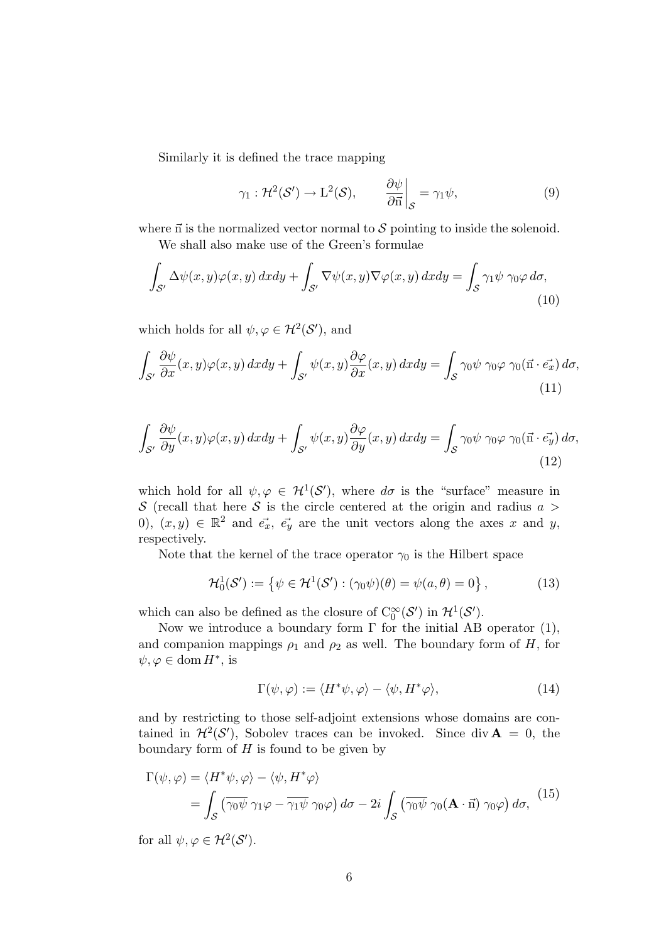Similarly it is defined the trace mapping

$$
\gamma_1 : \mathcal{H}^2(\mathcal{S}') \to \mathcal{L}^2(\mathcal{S}), \qquad \frac{\partial \psi}{\partial \vec{n}} \bigg|_{\mathcal{S}} = \gamma_1 \psi, \tag{9}
$$

where  $\vec{n}$  is the normalized vector normal to S pointing to inside the solenoid.

We shall also make use of the Green's formulae

$$
\int_{\mathcal{S}'} \Delta \psi(x, y)\varphi(x, y) \, dx \, dy + \int_{\mathcal{S}'} \nabla \psi(x, y) \nabla \varphi(x, y) \, dx \, dy = \int_{\mathcal{S}} \gamma_1 \psi \, \gamma_0 \varphi \, d\sigma,\tag{10}
$$

which holds for all  $\psi, \varphi \in \mathcal{H}^2(\mathcal{S}')$ , and

$$
\int_{\mathcal{S}'} \frac{\partial \psi}{\partial x}(x, y) \varphi(x, y) \, dx dy + \int_{\mathcal{S}'} \psi(x, y) \frac{\partial \varphi}{\partial x}(x, y) \, dx dy = \int_{\mathcal{S}} \gamma_0 \psi \, \gamma_0 \varphi \, \gamma_0(\vec{n} \cdot \vec{e_x}) \, d\sigma,\tag{11}
$$

$$
\int_{\mathcal{S}'} \frac{\partial \psi}{\partial y}(x, y) \varphi(x, y) \, dx dy + \int_{\mathcal{S}'} \psi(x, y) \frac{\partial \varphi}{\partial y}(x, y) \, dx dy = \int_{\mathcal{S}} \gamma_0 \psi \, \gamma_0 \varphi \, \gamma_0(\vec{\mathbf{n}} \cdot \vec{e_y}) \, d\sigma,\tag{12}
$$

which hold for all  $\psi, \varphi \in H^1(\mathcal{S}')$ , where  $d\sigma$  is the "surface" measure in S (recall that here S is the circle centered at the origin and radius  $a >$ 0),  $(x, y) \in \mathbb{R}^2$  and  $\vec{e_x}$ ,  $\vec{e_y}$  are the unit vectors along the axes x and y, respectively.

Note that the kernel of the trace operator  $\gamma_0$  is the Hilbert space

$$
\mathcal{H}_0^1(\mathcal{S}') := \{ \psi \in \mathcal{H}^1(\mathcal{S}') : (\gamma_0 \psi)(\theta) = \psi(a, \theta) = 0 \},\tag{13}
$$

which can also be defined as the closure of  $C_0^{\infty}(S')$  in  $\mathcal{H}^1(S')$ .

Now we introduce a boundary form  $\Gamma$  for the initial AB operator (1), and companion mappings  $\rho_1$  and  $\rho_2$  as well. The boundary form of H, for  $\psi, \varphi \in \text{dom}\, H^*,$  is

$$
\Gamma(\psi,\varphi) := \langle H^*\psi,\varphi \rangle - \langle \psi, H^*\varphi \rangle, \tag{14}
$$

and by restricting to those self-adjoint extensions whose domains are contained in  $\mathcal{H}^2(\mathcal{S}')$ , Sobolev traces can be invoked. Since div  $\mathbf{A} = 0$ , the boundary form of  $H$  is found to be given by

$$
\Gamma(\psi,\varphi) = \langle H^*\psi,\varphi\rangle - \langle \psi,H^*\varphi\rangle
$$
  
= 
$$
\int_{\mathcal{S}} \left(\overline{\gamma_0\psi}\gamma_1\varphi - \overline{\gamma_1\psi}\gamma_0\varphi\right) d\sigma - 2i \int_{\mathcal{S}} \left(\overline{\gamma_0\psi}\gamma_0(\mathbf{A}\cdot\vec{n})\gamma_0\varphi\right) d\sigma,
$$
 (15)

for all  $\psi, \varphi \in \mathcal{H}^2(\mathcal{S}')$ .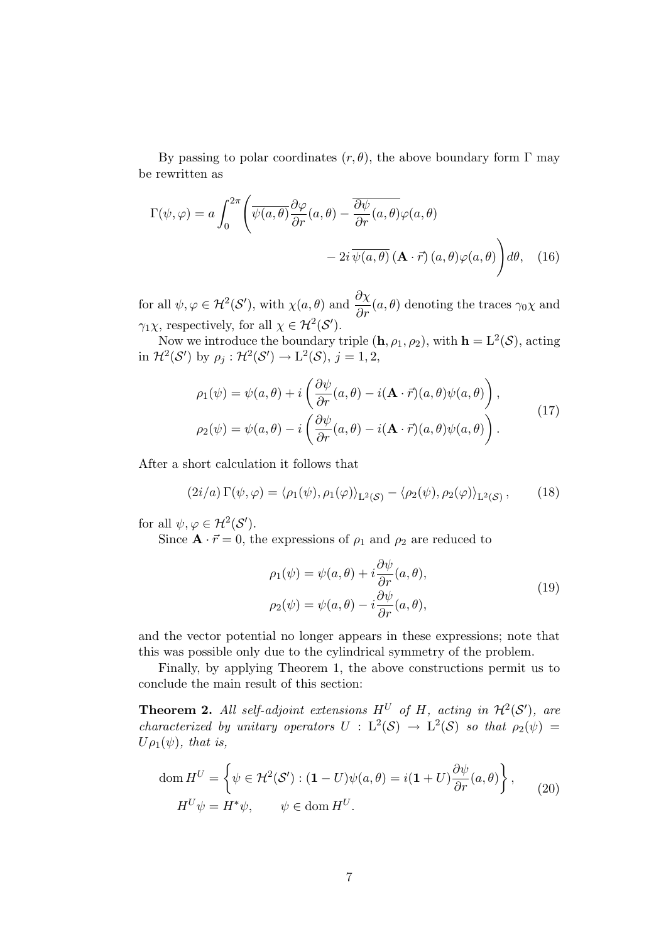By passing to polar coordinates  $(r, \theta)$ , the above boundary form  $\Gamma$  may be rewritten as

$$
\Gamma(\psi,\varphi) = a \int_0^{2\pi} \left( \overline{\psi(a,\theta)} \frac{\partial \varphi}{\partial r}(a,\theta) - \overline{\frac{\partial \psi}{\partial r}(a,\theta)} \varphi(a,\theta) - 2i \overline{\psi(a,\theta)} (\mathbf{A} \cdot \vec{r}) (a,\theta) \varphi(a,\theta) \right) d\theta, \quad (16)
$$

for all  $\psi, \varphi \in \mathcal{H}^2(\mathcal{S}')$ , with  $\chi(a, \theta)$  and  $\frac{\partial \chi}{\partial r}(a, \theta)$  denoting the traces  $\gamma_0 \chi$  and  $\gamma_1 \chi$ , respectively, for all  $\chi \in \mathcal{H}^2(\mathcal{S}')$ .

Now we introduce the boundary triple  $(h, \rho_1, \rho_2)$ , with  $h = L^2(\mathcal{S})$ , acting in  $\mathcal{H}^2(\mathcal{S}')$  by  $\rho_j : \mathcal{H}^2(\mathcal{S}') \to \mathbb{L}^2(\mathcal{S}), j = 1, 2,$ 

$$
\rho_1(\psi) = \psi(a,\theta) + i \left( \frac{\partial \psi}{\partial r}(a,\theta) - i(\mathbf{A} \cdot \vec{r})(a,\theta)\psi(a,\theta) \right),
$$
  
\n
$$
\rho_2(\psi) = \psi(a,\theta) - i \left( \frac{\partial \psi}{\partial r}(a,\theta) - i(\mathbf{A} \cdot \vec{r})(a,\theta)\psi(a,\theta) \right).
$$
\n(17)

After a short calculation it follows that

$$
(2i/a)\,\Gamma(\psi,\varphi) = \langle \rho_1(\psi), \rho_1(\varphi) \rangle_{L^2(\mathcal{S})} - \langle \rho_2(\psi), \rho_2(\varphi) \rangle_{L^2(\mathcal{S})},\tag{18}
$$

for all  $\psi, \varphi \in \mathcal{H}^2(\mathcal{S}')$ .

Since  $\mathbf{A} \cdot \vec{r} = 0$ , the expressions of  $\rho_1$  and  $\rho_2$  are reduced to

$$
\rho_1(\psi) = \psi(a,\theta) + i\frac{\partial\psi}{\partial r}(a,\theta),
$$
  
\n
$$
\rho_2(\psi) = \psi(a,\theta) - i\frac{\partial\psi}{\partial r}(a,\theta),
$$
\n(19)

and the vector potential no longer appears in these expressions; note that this was possible only due to the cylindrical symmetry of the problem.

Finally, by applying Theorem 1, the above constructions permit us to conclude the main result of this section:

**Theorem 2.** All self-adjoint extensions  $H^U$  of H, acting in  $\mathcal{H}^2(\mathcal{S}')$ , are characterized by unitary operators  $U : L^2(S) \to L^2(S)$  so that  $\rho_2(\psi) =$  $U\rho_1(\psi)$ , that is,

$$
\text{dom}\,H^U = \left\{\psi \in \mathcal{H}^2(\mathcal{S}') : (\mathbf{1} - U)\psi(a,\theta) = i(\mathbf{1} + U)\frac{\partial\psi}{\partial r}(a,\theta)\right\},\qquad(20)
$$

$$
H^U\psi = H^*\psi, \qquad \psi \in \text{dom}\,H^U.
$$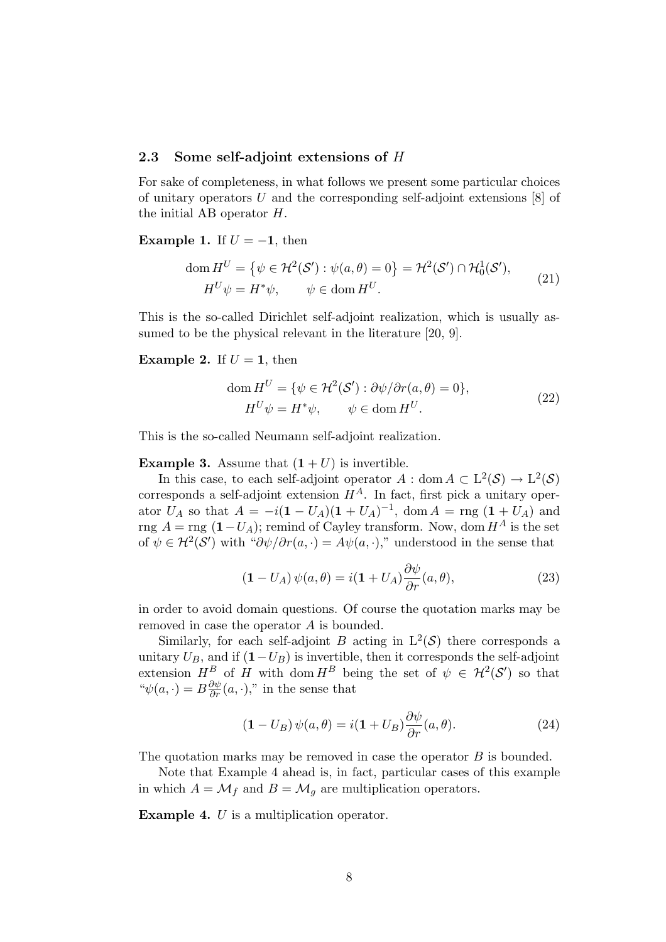### 2.3 Some self-adjoint extensions of *H*

For sake of completeness, in what follows we present some particular choices of unitary operators U and the corresponding self-adjoint extensions [8] of the initial AB operator H.

### Example 1. If  $U = -1$ , then

$$
\text{dom}\,H^U = \{ \psi \in \mathcal{H}^2(\mathcal{S}') : \psi(a,\theta) = 0 \} = \mathcal{H}^2(\mathcal{S}') \cap \mathcal{H}_0^1(\mathcal{S}'),
$$
\n
$$
H^U \psi = H^* \psi, \qquad \psi \in \text{dom}\,H^U.
$$
\n(21)

This is the so-called Dirichlet self-adjoint realization, which is usually assumed to be the physical relevant in the literature [20, 9].

### **Example 2.** If  $U = 1$ , then

$$
\text{dom}\,H^U = \{\psi \in \mathcal{H}^2(\mathcal{S}') : \partial \psi / \partial r(a,\theta) = 0\},\
$$
  

$$
H^U \psi = H^* \psi, \qquad \psi \in \text{dom}\,H^U.
$$
 (22)

This is the so-called Neumann self-adjoint realization.

### **Example 3.** Assume that  $(1 + U)$  is invertible.

In this case, to each self-adjoint operator  $A : dom A \subset L^2(\mathcal{S}) \to L^2(\mathcal{S})$ corresponds a self-adjoint extension  $H^A$ . In fact, first pick a unitary operator  $U_A$  so that  $A = -i(1 - U_A)(1 + U_A)^{-1}$ , dom  $A = \text{rng}(1 + U_A)$  and rng  $A = \text{rng } (1-U_A)$ ; remind of Cayley transform. Now, dom  $H^A$  is the set of  $\psi \in H^2(\mathcal{S}')$  with " $\partial \psi / \partial r(a, \cdot) = A \psi(a, \cdot),$ " understood in the sense that

$$
(\mathbf{1} - U_A) \psi(a, \theta) = i(\mathbf{1} + U_A) \frac{\partial \psi}{\partial r}(a, \theta), \tag{23}
$$

in order to avoid domain questions. Of course the quotation marks may be removed in case the operator A is bounded.

Similarly, for each self-adjoint B acting in  $L^2(\mathcal{S})$  there corresponds a unitary  $U_B$ , and if  $(1-U_B)$  is invertible, then it corresponds the self-adjoint extension  $H^B$  of H with dom  $H^B$  being the set of  $\psi \in H^2(\mathcal{S}')$  so that " $\psi(a, \cdot) = B \frac{\partial \psi}{\partial r}(a, \cdot),$ " in the sense that

$$
\left(\mathbf{1} - U_B\right)\psi(a,\theta) = i\left(\mathbf{1} + U_B\right)\frac{\partial\psi}{\partial r}(a,\theta). \tag{24}
$$

The quotation marks may be removed in case the operator  $B$  is bounded.

Note that Example 4 ahead is, in fact, particular cases of this example in which  $A = \mathcal{M}_f$  and  $B = \mathcal{M}_g$  are multiplication operators.

Example 4. U is a multiplication operator.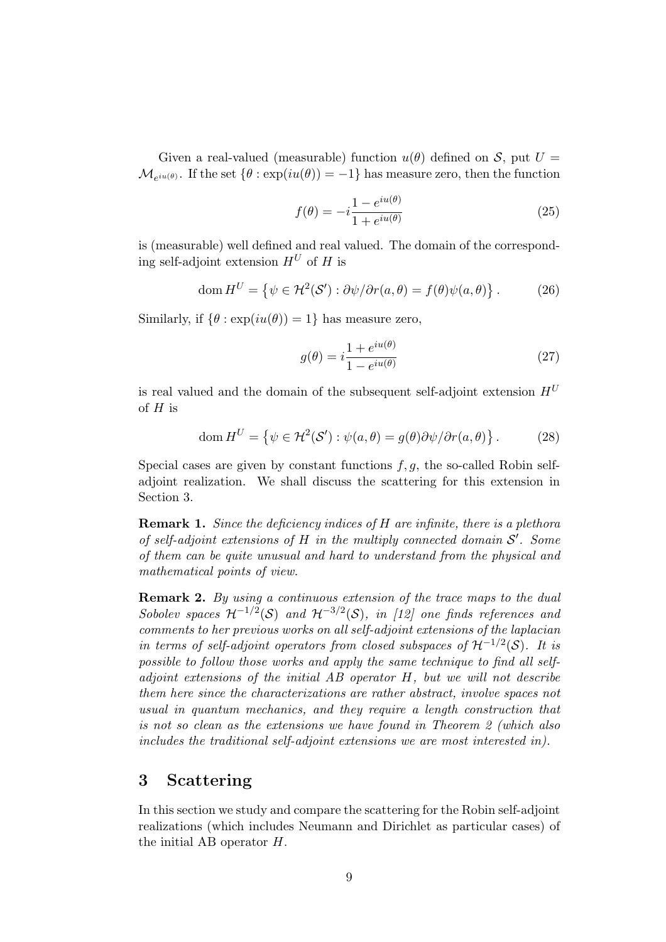Given a real-valued (measurable) function  $u(\theta)$  defined on S, put  $U =$  $\mathcal{M}_{e^{iu}(\theta)}$ . If the set  $\{\theta : \exp(iu(\theta)) = -1\}$  has measure zero, then the function

$$
f(\theta) = -i \frac{1 - e^{iu(\theta)}}{1 + e^{iu(\theta)}}
$$
\n(25)

is (measurable) well defined and real valued. The domain of the corresponding self-adjoint extension  $H^U$  of H is

$$
\text{dom}\,H^U = \left\{ \psi \in \mathcal{H}^2(\mathcal{S}') : \partial \psi / \partial r(a,\theta) = f(\theta)\psi(a,\theta) \right\}. \tag{26}
$$

Similarly, if  $\{\theta : \exp(iu(\theta)) = 1\}$  has measure zero,

$$
g(\theta) = i \frac{1 + e^{iu(\theta)}}{1 - e^{iu(\theta)}}
$$
\n(27)

is real valued and the domain of the subsequent self-adjoint extension  $H^U$ of  $H$  is

$$
\text{dom}\,H^U = \left\{ \psi \in \mathcal{H}^2(\mathcal{S}') : \psi(a,\theta) = g(\theta)\partial\psi/\partial r(a,\theta) \right\}. \tag{28}
$$

Special cases are given by constant functions  $f, g$ , the so-called Robin selfadjoint realization. We shall discuss the scattering for this extension in Section 3.

**Remark 1.** Since the deficiency indices of H are infinite, there is a plethora of self-adjoint extensions of  $H$  in the multiply connected domain  $S'$ . Some of them can be quite unusual and hard to understand from the physical and mathematical points of view.

Remark 2. By using a continuous extension of the trace maps to the dual Sobolev spaces  $\mathcal{H}^{-1/2}(\mathcal{S})$  and  $\mathcal{H}^{-3/2}(\mathcal{S})$ , in [12] one finds references and comments to her previous works on all self-adjoint extensions of the laplacian in terms of self-adjoint operators from closed subspaces of  $\mathcal{H}^{-1/2}(\mathcal{S})$ . It is possible to follow those works and apply the same technique to find all selfadjoint extensions of the initial AB operator H, but we will not describe them here since the characterizations are rather abstract, involve spaces not usual in quantum mechanics, and they require a length construction that is not so clean as the extensions we have found in Theorem 2 (which also includes the traditional self-adjoint extensions we are most interested in).

# 3 Scattering

In this section we study and compare the scattering for the Robin self-adjoint realizations (which includes Neumann and Dirichlet as particular cases) of the initial AB operator H.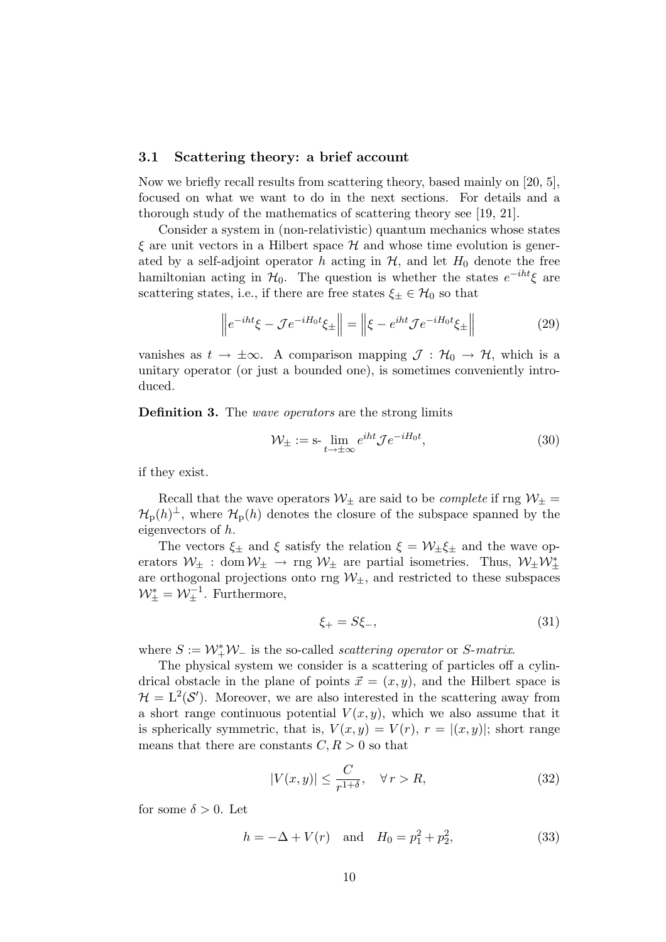### 3.1 Scattering theory: a brief account

Now we briefly recall results from scattering theory, based mainly on [20, 5], focused on what we want to do in the next sections. For details and a thorough study of the mathematics of scattering theory see [19, 21].

Consider a system in (non-relativistic) quantum mechanics whose states  $\xi$  are unit vectors in a Hilbert space  $\mathcal H$  and whose time evolution is generated by a self-adjoint operator h acting in  $H$ , and let  $H_0$  denote the free hamiltonian acting in  $\mathcal{H}_0$ . The question is whether the states  $e^{-iht}\xi$  are scattering states, i.e., if there are free states  $\xi_{\pm} \in \mathcal{H}_0$  so that

$$
\left\|e^{-iht}\xi - \mathcal{J}e^{-iH_0t}\xi_{\pm}\right\| = \left\|\xi - e^{iht}\mathcal{J}e^{-iH_0t}\xi_{\pm}\right\| \tag{29}
$$

vanishes as  $t \to \pm \infty$ . A comparison mapping  $\mathcal{J} : \mathcal{H}_0 \to \mathcal{H}$ , which is a unitary operator (or just a bounded one), is sometimes conveniently introduced.

Definition 3. The *wave operators* are the strong limits

$$
\mathcal{W}_{\pm} := \operatorname{s-}\lim_{t \to \pm \infty} e^{iht} \mathcal{J} e^{-iH_0 t},\tag{30}
$$

if they exist.

Recall that the wave operators  $W_{\pm}$  are said to be *complete* if rng  $W_{\pm}$  =  $\mathcal{H}_{\text{p}}(h)$ <sup>⊥</sup>, where  $\mathcal{H}_{\text{p}}(h)$  denotes the closure of the subspace spanned by the eigenvectors of h.

The vectors  $\xi_{\pm}$  and  $\xi$  satisfy the relation  $\xi = \mathcal{W}_{\pm} \xi_{\pm}$  and the wave operators  $W_{\pm}$ : dom  $W_{\pm} \rightarrow \text{rng } W_{\pm}$  are partial isometries. Thus,  $W_{\pm}W_{\pm}^*$ are orthogonal projections onto rng  $W_{\pm}$ , and restricted to these subspaces  $W_{\pm}^* = W_{\pm}^{-1}$ . Furthermore,

$$
\xi_{+} = S\xi_{-},\tag{31}
$$

where  $S := \mathcal{W}_+^* \mathcal{W}_-$  is the so-called *scattering operator* or *S*-matrix.

The physical system we consider is a scattering of particles off a cylindrical obstacle in the plane of points  $\vec{x} = (x, y)$ , and the Hilbert space is  $\mathcal{H} = L^2(\mathcal{S}')$ . Moreover, we are also interested in the scattering away from a short range continuous potential  $V(x, y)$ , which we also assume that it is spherically symmetric, that is,  $V(x, y) = V(r)$ ,  $r = |(x, y)|$ ; short range means that there are constants  $C, R > 0$  so that

$$
|V(x,y)| \le \frac{C}{r^{1+\delta}}, \quad \forall \, r > R,\tag{32}
$$

for some  $\delta > 0$ . Let

$$
h = -\Delta + V(r) \quad \text{and} \quad H_0 = p_1^2 + p_2^2,\tag{33}
$$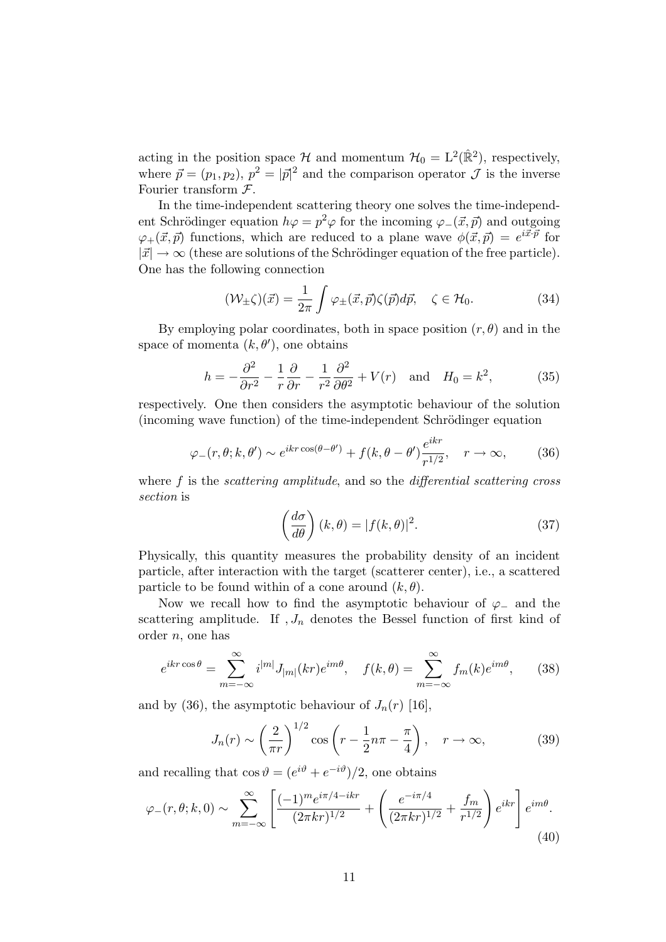acting in the position space H and momentum  $\mathcal{H}_0 = L^2(\mathbb{R}^2)$ , respectively, where  $\vec{p} = (p_1, p_2), p^2 = |\vec{p}|^2$  and the comparison operator  $\mathcal J$  is the inverse Fourier transform  $F$ .

In the time-independent scattering theory one solves the time-independent Schrödinger equation  $h\varphi = p^2\varphi$  for the incoming  $\varphi_-(\vec{x}, \vec{p})$  and outgoing  $\varphi_+(\vec{x}, \vec{p})$  functions, which are reduced to a plane wave  $\phi(\vec{x}, \vec{p}) = e^{i\vec{x}\cdot\vec{p}}$  for  $|\vec{x}| \rightarrow \infty$  (these are solutions of the Schrödinger equation of the free particle). One has the following connection

$$
(\mathcal{W}_{\pm}\zeta)(\vec{x}) = \frac{1}{2\pi} \int \varphi_{\pm}(\vec{x}, \vec{p})\zeta(\vec{p})d\vec{p}, \quad \zeta \in \mathcal{H}_0.
$$
 (34)

By employing polar coordinates, both in space position  $(r, \theta)$  and in the space of momenta  $(k, \theta')$ , one obtains

$$
h = -\frac{\partial^2}{\partial r^2} - \frac{1}{r}\frac{\partial}{\partial r} - \frac{1}{r^2}\frac{\partial^2}{\partial \theta^2} + V(r) \quad \text{and} \quad H_0 = k^2,\tag{35}
$$

respectively. One then considers the asymptotic behaviour of the solution (incoming wave function) of the time-independent Schrödinger equation

$$
\varphi_{-}(r,\theta;k,\theta') \sim e^{ikr\cos(\theta-\theta')} + f(k,\theta-\theta')\frac{e^{ikr}}{r^{1/2}}, \quad r \to \infty,
$$
 (36)

where  $f$  is the *scattering amplitude*, and so the *differential scattering cross* section is

$$
\left(\frac{d\sigma}{d\theta}\right)(k,\theta) = |f(k,\theta)|^2.
$$
\n(37)

Physically, this quantity measures the probability density of an incident particle, after interaction with the target (scatterer center), i.e., a scattered particle to be found within of a cone around  $(k, \theta)$ .

Now we recall how to find the asymptotic behaviour of  $\varphi$ <sub>−</sub> and the scattering amplitude. If  $J_n$  denotes the Bessel function of first kind of order n, one has

$$
e^{ikr\cos\theta} = \sum_{m=-\infty}^{\infty} i^{|m|} J_{|m|}(kr)e^{im\theta}, \quad f(k,\theta) = \sum_{m=-\infty}^{\infty} f_m(k)e^{im\theta}, \quad (38)
$$

and by (36), the asymptotic behaviour of  $J_n(r)$  [16],

$$
J_n(r) \sim \left(\frac{2}{\pi r}\right)^{1/2} \cos\left(r - \frac{1}{2}n\pi - \frac{\pi}{4}\right), \quad r \to \infty,
$$
 (39)

and recalling that  $\cos \vartheta = (e^{i\vartheta} + e^{-i\vartheta})/2$ , one obtains

$$
\varphi_{-}(r,\theta;k,0) \sim \sum_{m=-\infty}^{\infty} \left[ \frac{(-1)^m e^{i\pi/4 - ikr}}{(2\pi kr)^{1/2}} + \left( \frac{e^{-i\pi/4}}{(2\pi kr)^{1/2}} + \frac{f_m}{r^{1/2}} \right) e^{ikr} \right] e^{im\theta}.
$$
\n(40)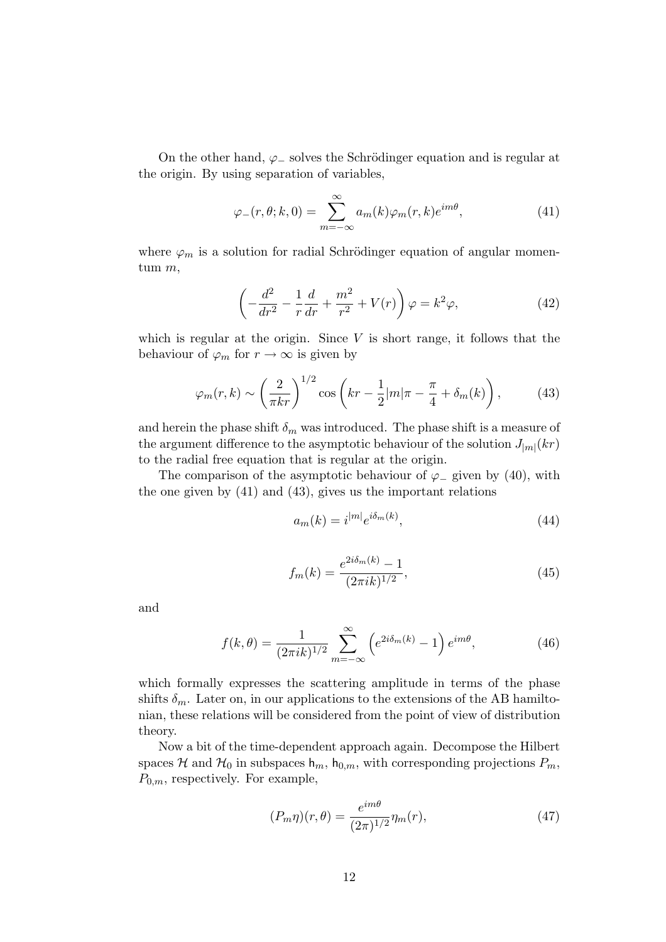On the other hand,  $\varphi$  solves the Schrödinger equation and is regular at the origin. By using separation of variables,

$$
\varphi_{-}(r,\theta;k,0) = \sum_{m=-\infty}^{\infty} a_m(k)\varphi_m(r,k)e^{im\theta},\qquad(41)
$$

where  $\varphi_m$  is a solution for radial Schrödinger equation of angular momentum m,

$$
\left(-\frac{d^2}{dr^2} - \frac{1}{r}\frac{d}{dr} + \frac{m^2}{r^2} + V(r)\right)\varphi = k^2\varphi,
$$
\n(42)

which is regular at the origin. Since  $V$  is short range, it follows that the behaviour of  $\varphi_m$  for  $r \to \infty$  is given by

$$
\varphi_m(r,k) \sim \left(\frac{2}{\pi kr}\right)^{1/2} \cos\left(kr - \frac{1}{2}|m|\pi - \frac{\pi}{4} + \delta_m(k)\right),\tag{43}
$$

and herein the phase shift  $\delta_m$  was introduced. The phase shift is a measure of the argument difference to the asymptotic behaviour of the solution  $J_{|m|}(kr)$ to the radial free equation that is regular at the origin.

The comparison of the asymptotic behaviour of  $\varphi$  given by (40), with the one given by (41) and (43), gives us the important relations

$$
a_m(k) = i^{|m|} e^{i\delta_m(k)},\tag{44}
$$

$$
f_m(k) = \frac{e^{2i\delta_m(k)} - 1}{(2\pi i k)^{1/2}},\tag{45}
$$

and

$$
f(k,\theta) = \frac{1}{(2\pi i k)^{1/2}} \sum_{m=-\infty}^{\infty} \left( e^{2i\delta_m(k)} - 1 \right) e^{im\theta},\tag{46}
$$

which formally expresses the scattering amplitude in terms of the phase shifts  $\delta_m$ . Later on, in our applications to the extensions of the AB hamiltonian, these relations will be considered from the point of view of distribution theory.

Now a bit of the time-dependent approach again. Decompose the Hilbert spaces H and  $\mathcal{H}_0$  in subspaces  $h_m$ ,  $h_{0,m}$ , with corresponding projections  $P_m$ ,  $P_{0,m}$ , respectively. For example,

$$
(P_m \eta)(r,\theta) = \frac{e^{im\theta}}{(2\pi)^{1/2}} \eta_m(r),\tag{47}
$$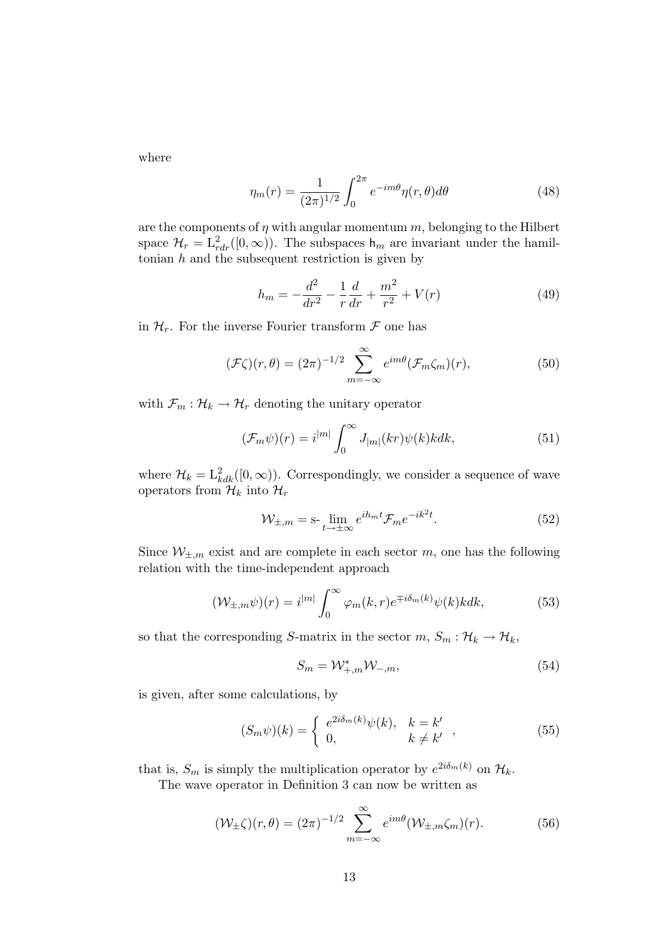where

$$
\eta_m(r) = \frac{1}{(2\pi)^{1/2}} \int_0^{2\pi} e^{-im\theta} \eta(r,\theta) d\theta \tag{48}
$$

are the components of  $\eta$  with angular momentum  $m$ , belonging to the Hilbert space  $\mathcal{H}_r = L^2_{rdr}([0,\infty))$ . The subspaces  $h_m$  are invariant under the hamiltonian  $h$  and the subsequent restriction is given by

$$
h_m = -\frac{d^2}{dr^2} - \frac{1}{r}\frac{d}{dr} + \frac{m^2}{r^2} + V(r)
$$
\n(49)

in  $\mathcal{H}_r$ . For the inverse Fourier transform  $\mathcal F$  one has

$$
(\mathcal{F}\zeta)(r,\theta) = (2\pi)^{-1/2} \sum_{m=-\infty}^{\infty} e^{im\theta} (\mathcal{F}_m\zeta_m)(r), \qquad (50)
$$

with  $\mathcal{F}_m : \mathcal{H}_k \to \mathcal{H}_r$  denoting the unitary operator

$$
(\mathcal{F}_m \psi)(r) = i^{|m|} \int_0^\infty J_{|m|}(kr) \psi(k) k dk,
$$
\n(51)

where  $\mathcal{H}_k = \mathcal{L}_{kdk}^2([0,\infty))$ . Correspondingly, we consider a sequence of wave operators from  $\mathcal{H}_k$  into  $\mathcal{H}_r$ 

$$
\mathcal{W}_{\pm,m} = \mathbf{s} \cdot \lim_{t \to \pm \infty} e^{ih_m t} \mathcal{F}_m e^{-ik^2 t}.
$$
 (52)

Since  $W_{\pm,m}$  exist and are complete in each sector m, one has the following relation with the time-independent approach

$$
(\mathcal{W}_{\pm,m}\psi)(r) = i^{|m|} \int_0^\infty \varphi_m(k,r) e^{\mp i\delta_m(k)} \psi(k) k dk,
$$
 (53)

so that the corresponding S-matrix in the sector  $m, S_m : \mathcal{H}_k \to \mathcal{H}_k$ ,

$$
S_m = \mathcal{W}_{+,m}^* \mathcal{W}_{-,m},\tag{54}
$$

is given, after some calculations, by

$$
(S_m \psi)(k) = \begin{cases} e^{2i\delta_m(k)}\psi(k), & k = k' \\ 0, & k \neq k' \end{cases},
$$
 (55)

that is,  $S_m$  is simply the multiplication operator by  $e^{2i\delta_m(k)}$  on  $\mathcal{H}_k$ .

The wave operator in Definition 3 can now be written as

$$
(\mathcal{W}_{\pm}\zeta)(r,\theta) = (2\pi)^{-1/2} \sum_{m=-\infty}^{\infty} e^{im\theta} (\mathcal{W}_{\pm,m}\zeta_m)(r).
$$
 (56)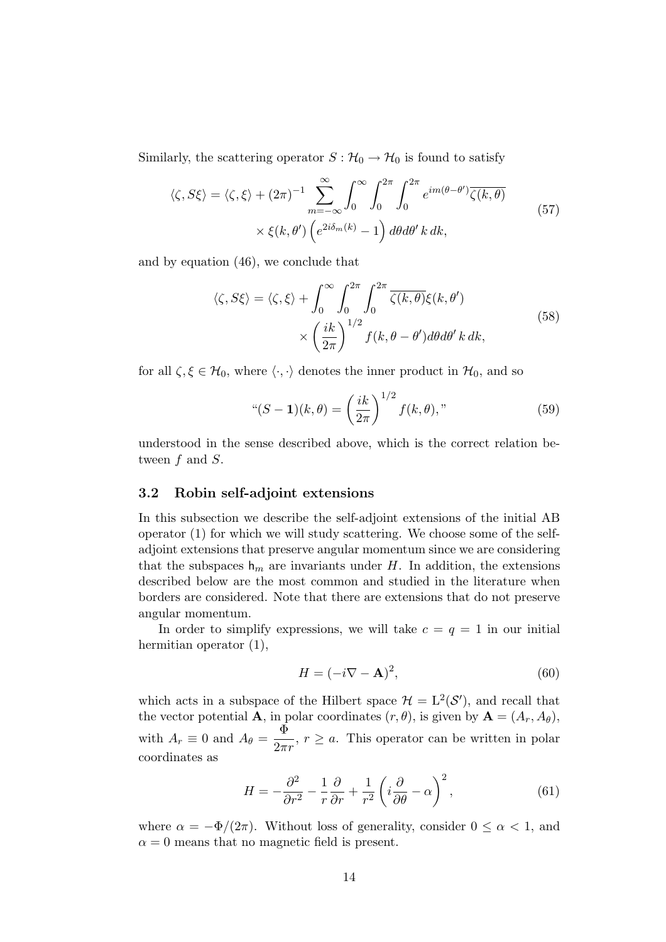Similarly, the scattering operator  $S : \mathcal{H}_0 \to \mathcal{H}_0$  is found to satisfy

$$
\langle \zeta, S\xi \rangle = \langle \zeta, \xi \rangle + (2\pi)^{-1} \sum_{m=-\infty}^{\infty} \int_0^{\infty} \int_0^{2\pi} \int_0^{2\pi} e^{im(\theta - \theta')} \overline{\zeta(k, \theta)}
$$
  
 
$$
\times \xi(k, \theta') \left( e^{2i\delta_m(k)} - 1 \right) d\theta d\theta' k dk,
$$
 (57)

and by equation (46), we conclude that

$$
\langle \zeta, S\xi \rangle = \langle \zeta, \xi \rangle + \int_0^\infty \int_0^{2\pi} \int_0^{2\pi} \overline{\zeta(k, \theta)} \xi(k, \theta')
$$
  
 
$$
\times \left(\frac{ik}{2\pi}\right)^{1/2} f(k, \theta - \theta') d\theta d\theta' k dk,
$$
 (58)

for all  $\zeta, \xi \in \mathcal{H}_0$ , where  $\langle \cdot, \cdot \rangle$  denotes the inner product in  $\mathcal{H}_0$ , and so

$$
``(S-1)(k,\theta) = \left(\frac{ik}{2\pi}\right)^{1/2} f(k,\theta)," \tag{59}
$$

understood in the sense described above, which is the correct relation between  $f$  and  $S$ .

### 3.2 Robin self-adjoint extensions

In this subsection we describe the self-adjoint extensions of the initial AB operator (1) for which we will study scattering. We choose some of the selfadjoint extensions that preserve angular momentum since we are considering that the subspaces  $h_m$  are invariants under H. In addition, the extensions described below are the most common and studied in the literature when borders are considered. Note that there are extensions that do not preserve angular momentum.

In order to simplify expressions, we will take  $c = q = 1$  in our initial hermitian operator  $(1)$ ,

$$
H = (-i\nabla - \mathbf{A})^2,\tag{60}
$$

which acts in a subspace of the Hilbert space  $\mathcal{H} = L^2(\mathcal{S}')$ , and recall that the vector potential **A**, in polar coordinates  $(r, \theta)$ , is given by  $\mathbf{A} = (A_r, A_\theta)$ , with  $A_r \equiv 0$  and  $A_\theta = \frac{\Phi}{2\pi r}$ ,  $r \ge a$ . This operator can be written in polar coordinates as

$$
H = -\frac{\partial^2}{\partial r^2} - \frac{1}{r}\frac{\partial}{\partial r} + \frac{1}{r^2} \left( i \frac{\partial}{\partial \theta} - \alpha \right)^2, \tag{61}
$$

where  $\alpha = -\Phi/(2\pi)$ . Without loss of generality, consider  $0 \leq \alpha < 1$ , and  $\alpha = 0$  means that no magnetic field is present.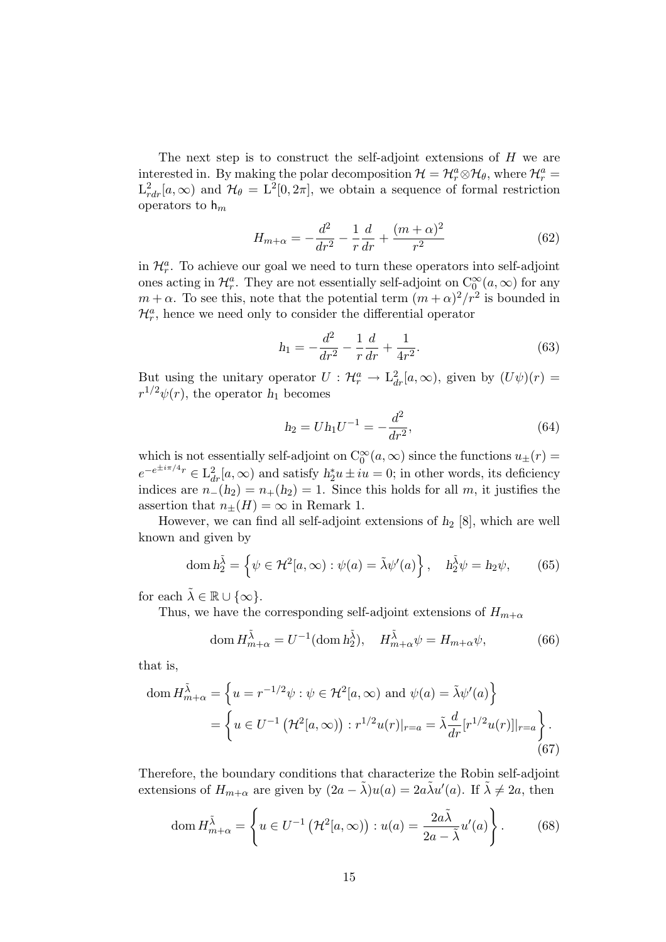The next step is to construct the self-adjoint extensions of  $H$  we are interested in. By making the polar decomposition  $\mathcal{H} = \mathcal{H}_r^a \otimes \mathcal{H}_{\theta}$ , where  $\mathcal{H}_r^a$  $L^2_{rdr}[a,\infty)$  and  $\mathcal{H}_{\theta} = L^2[0,2\pi]$ , we obtain a sequence of formal restriction operators to  $h_m$ 

$$
H_{m+\alpha} = -\frac{d^2}{dr^2} - \frac{1}{r}\frac{d}{dr} + \frac{(m+\alpha)^2}{r^2}
$$
 (62)

in  $\mathcal{H}_r^a$ . To achieve our goal we need to turn these operators into self-adjoint ones acting in  $\mathcal{H}_r^a$ . They are not essentially self-adjoint on  $C_0^{\infty}(a,\infty)$  for any  $m + \alpha$ . To see this, note that the potential term  $(m + \alpha)^2/r^2$  is bounded in  $\mathcal{H}_{r}^{a}$ , hence we need only to consider the differential operator

$$
h_1 = -\frac{d^2}{dr^2} - \frac{1}{r}\frac{d}{dr} + \frac{1}{4r^2}.\tag{63}
$$

But using the unitary operator  $U: \mathcal{H}_r^a \to L_{dr}^2[a,\infty)$ , given by  $(U\psi)(r) =$  $r^{1/2}\psi(r)$ , the operator  $h_1$  becomes

$$
h_2 = Uh_1U^{-1} = -\frac{d^2}{dr^2},\tag{64}
$$

which is not essentially self-adjoint on  $C_0^{\infty}(a,\infty)$  since the functions  $u_{\pm}(r) =$  $e^{-e^{\pm i\pi/4}r} \in L^2_{dr}[a,\infty)$  and satisfy  $h_2^*u \pm iu = 0$ ; in other words, its deficiency indices are  $n_{-}(h_2) = n_{+}(h_2) = 1$ . Since this holds for all m, it justifies the assertion that  $n_{\pm}(H) = \infty$  in Remark 1.

However, we can find all self-adjoint extensions of *h*<sup>2</sup> [8], which are well known and given by

dom 
$$
h_2^{\tilde{\lambda}} = \left\{ \psi \in \mathcal{H}^2[a,\infty) : \psi(a) = \tilde{\lambda}\psi'(a) \right\}, \quad h_2^{\tilde{\lambda}}\psi = h_2\psi,
$$
 (65)

for each  $\lambda \in \mathbb{R} \cup \{\infty\}.$ 

Thus, we have the corresponding self-adjoint extensions of  $H_{m+\alpha}$ 

$$
\text{dom}\, H_{m+\alpha}^{\tilde{\lambda}} = U^{-1}(\text{dom}\, h_2^{\tilde{\lambda}}), \quad H_{m+\alpha}^{\tilde{\lambda}} \psi = H_{m+\alpha} \psi,\tag{66}
$$

that is,

$$
\text{dom}\, H_{m+\alpha}^{\tilde{\lambda}} = \left\{ u = r^{-1/2}\psi : \psi \in \mathcal{H}^2[a,\infty) \text{ and } \psi(a) = \tilde{\lambda}\psi'(a) \right\}
$$
\n
$$
= \left\{ u \in U^{-1}\left( \mathcal{H}^2[a,\infty) \right) : r^{1/2}u(r)|_{r=a} = \tilde{\lambda}\frac{d}{dr}[r^{1/2}u(r)]|_{r=a} \right\}.
$$
\n(67)

Therefore, the boundary conditions that characterize the Robin self-adjoint extensions of  $H_{m+\alpha}$  are given by  $(2a - \tilde{\lambda})u(a) = 2a\tilde{\lambda}u'(a)$ . If  $\tilde{\lambda} \neq 2a$ , then

dom 
$$
H_{m+\alpha}^{\tilde{\lambda}} = \left\{ u \in U^{-1} \left( \mathcal{H}^2[a,\infty) \right) : u(a) = \frac{2a\tilde{\lambda}}{2a - \tilde{\lambda}} u'(a) \right\}.
$$
 (68)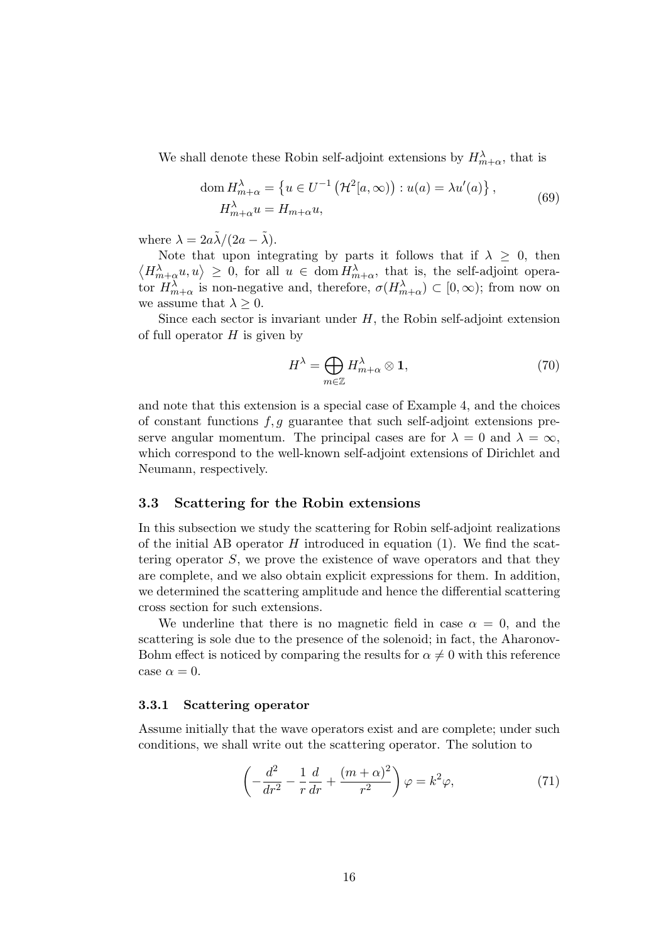We shall denote these Robin self-adjoint extensions by  $H_{m+\alpha}^{\lambda}$ , that is

$$
\text{dom}\, H_{m+\alpha}^{\lambda} = \left\{ u \in U^{-1} \left( \mathcal{H}^2[a,\infty) \right) : u(a) = \lambda u'(a) \right\},
$$
\n
$$
H_{m+\alpha}^{\lambda} u = H_{m+\alpha} u,
$$
\n(69)

where  $\lambda = 2a\tilde{\lambda}/(2a - \tilde{\lambda})$ .

Note that upon integrating by parts it follows that if  $\lambda \geq 0$ , then  $\langle H_{m+\alpha}^{\lambda}u, u \rangle \geq 0$ , for all  $u \in \text{dom } H_{m+\alpha}^{\lambda}$ , that is, the self-adjoint operator  $H_{m+\alpha}^{\lambda}$  is non-negative and, therefore,  $\sigma(H_{m+\alpha}^{\lambda}) \subset [0,\infty)$ ; from now on we assume that  $\lambda \geq 0$ .

Since each sector is invariant under  $H$ , the Robin self-adjoint extension of full operator  $H$  is given by

$$
H^{\lambda} = \bigoplus_{m \in \mathbb{Z}} H^{\lambda}_{m+\alpha} \otimes \mathbf{1},\tag{70}
$$

and note that this extension is a special case of Example 4, and the choices of constant functions  $f, g$  guarantee that such self-adjoint extensions preserve angular momentum. The principal cases are for  $\lambda = 0$  and  $\lambda = \infty$ , which correspond to the well-known self-adjoint extensions of Dirichlet and Neumann, respectively.

### 3.3 Scattering for the Robin extensions

In this subsection we study the scattering for Robin self-adjoint realizations of the initial AB operator  $H$  introduced in equation (1). We find the scattering operator S, we prove the existence of wave operators and that they are complete, and we also obtain explicit expressions for them. In addition, we determined the scattering amplitude and hence the differential scattering cross section for such extensions.

We underline that there is no magnetic field in case  $\alpha = 0$ , and the scattering is sole due to the presence of the solenoid; in fact, the Aharonov-Bohm effect is noticed by comparing the results for  $\alpha \neq 0$  with this reference case  $\alpha = 0$ .

#### 3.3.1 Scattering operator

Assume initially that the wave operators exist and are complete; under such conditions, we shall write out the scattering operator. The solution to

$$
\left(-\frac{d^2}{dr^2} - \frac{1}{r}\frac{d}{dr} + \frac{(m+\alpha)^2}{r^2}\right)\varphi = k^2\varphi,
$$
\n(71)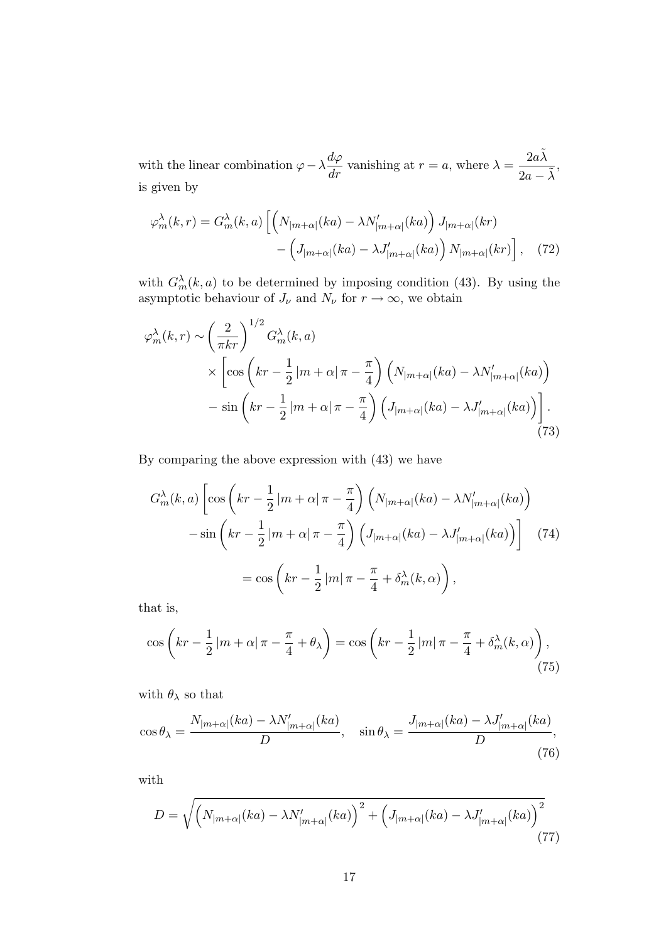with the linear combination  $\varphi - \lambda \frac{d\varphi}{dr}$  vanishing at  $r = a$ , where  $\lambda = \frac{2a\tilde{\lambda}}{2a - \tilde{\lambda}}$ , is given by

$$
\varphi_m^{\lambda}(k,r) = G_m^{\lambda}(k,a) \left[ \left( N_{|m+\alpha|}(ka) - \lambda N'_{|m+\alpha|}(ka) \right) J_{|m+\alpha|}(kr) - \left( J_{|m+\alpha|}(ka) - \lambda J'_{|m+\alpha|}(ka) \right) N_{|m+\alpha|}(kr) \right], \quad (72)
$$

with  $G_m^{\lambda}(k, a)$  to be determined by imposing condition (43). By using the asymptotic behaviour of  $J_{\nu}$  and  $N_{\nu}$  for  $r \to \infty$ , we obtain

$$
\varphi_m^{\lambda}(k,r) \sim \left(\frac{2}{\pi kr}\right)^{1/2} G_m^{\lambda}(k,a)
$$
  
 
$$
\times \left[\cos\left(kr - \frac{1}{2}|m+\alpha|\pi - \frac{\pi}{4}\right) \left(N_{|m+\alpha|}(ka) - \lambda N'_{|m+\alpha|}(ka)\right) - \sin\left(kr - \frac{1}{2}|m+\alpha|\pi - \frac{\pi}{4}\right) \left(J_{|m+\alpha|}(ka) - \lambda J'_{|m+\alpha|}(ka)\right)\right].
$$
 (73)

By comparing the above expression with (43) we have

$$
G_m^{\lambda}(k, a) \left[ \cos\left(kr - \frac{1}{2}|m + \alpha|\pi - \frac{\pi}{4}\right) \left(N_{|m + \alpha|}(ka) - \lambda N'_{|m + \alpha|}(ka)\right) \right]
$$

$$
- \sin\left(kr - \frac{1}{2}|m + \alpha|\pi - \frac{\pi}{4}\right) \left(J_{|m + \alpha|}(ka) - \lambda J'_{|m + \alpha|}(ka)\right) \right]
$$
(74)
$$
= \cos\left(kr - \frac{1}{2}|m|\pi - \frac{\pi}{4} + \delta_m^{\lambda}(k, \alpha)\right),
$$

that is,

$$
\cos\left(kr - \frac{1}{2}|m+\alpha|\,\pi - \frac{\pi}{4} + \theta_{\lambda}\right) = \cos\left(kr - \frac{1}{2}|m|\,\pi - \frac{\pi}{4} + \delta_m^{\lambda}(k,\alpha)\right),\tag{75}
$$

with  $\theta_{\lambda}$  so that

$$
\cos \theta_{\lambda} = \frac{N_{|m+\alpha|}(ka) - \lambda N'_{|m+\alpha|}(ka)}{D}, \quad \sin \theta_{\lambda} = \frac{J_{|m+\alpha|}(ka) - \lambda J'_{|m+\alpha|}(ka)}{D},\tag{76}
$$

with

$$
D = \sqrt{\left(N_{|m+\alpha|}(ka) - \lambda N'_{|m+\alpha|}(ka)\right)^2 + \left(J_{|m+\alpha|}(ka) - \lambda J'_{|m+\alpha|}(ka)\right)^2}
$$
\n(77)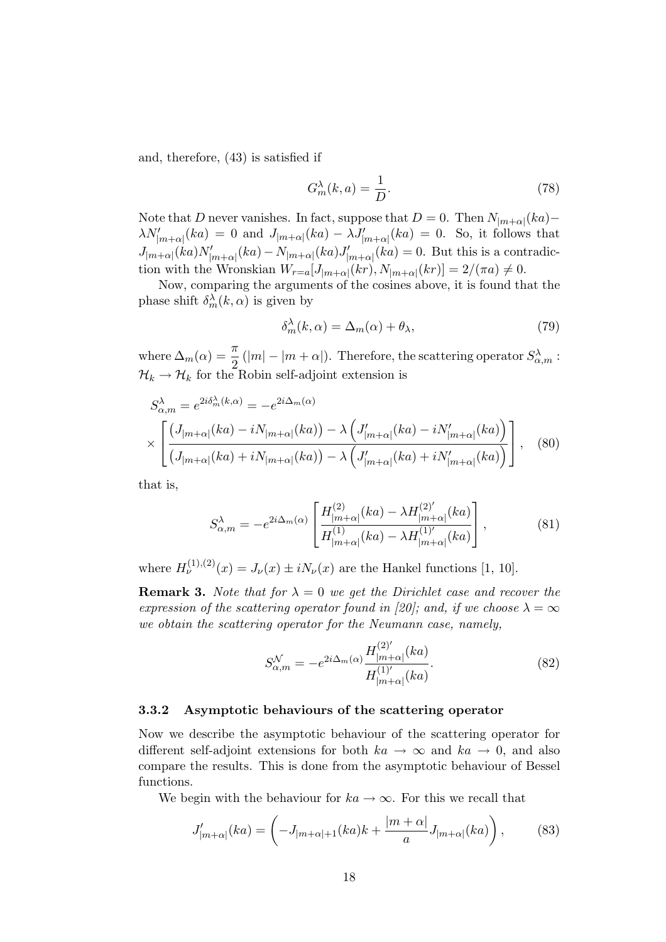and, therefore, (43) is satisfied if

$$
G_m^{\lambda}(k, a) = \frac{1}{D}.\tag{78}
$$

Note that D never vanishes. In fact, suppose that  $D = 0$ . Then  $N_{|m+\alpha|}(ka)$ –  $\lambda N'_{|m+\alpha|}(ka) = 0$  and  $J_{|m+\alpha|}(ka) - \lambda J'_{|m+\alpha|}(ka) = 0$ . So, it follows that  $J_{|m+\alpha|}(ka)N'_{|m+\alpha|}(ka) - N_{|m+\alpha|}(ka)J'_{|m+\alpha|}(ka) = 0$ . But this is a contradiction with the Wronskian  $W_{r=a}[J_{|m+\alpha|}(kr), N_{|m+\alpha|}(kr)] = 2/(\pi a) \neq 0.$ 

Now, comparing the arguments of the cosines above, it is found that the phase shift  $\delta_m^{\lambda}(k,\alpha)$  is given by

$$
\delta_m^{\lambda}(k,\alpha) = \Delta_m(\alpha) + \theta_{\lambda},\tag{79}
$$

where  $\Delta_m(\alpha) = \frac{\pi}{2} (|m| - |m + \alpha|)$ . Therefore, the scattering operator  $S_{\alpha,m}^{\lambda}$ :  $\mathcal{H}_k \to \mathcal{H}_k$  for the Robin self-adjoint extension is

$$
S_{\alpha,m}^{\lambda} = e^{2i\delta_m^{\lambda}(k,\alpha)} = -e^{2i\Delta_m(\alpha)}
$$

$$
\times \left[ \frac{(J_{|m+\alpha|}(ka) - iN_{|m+\alpha|}(ka)) - \lambda \left( J'_{|m+\alpha|}(ka) - iN'_{|m+\alpha|}(ka) \right)}{(J_{|m+\alpha|}(ka) + iN_{|m+\alpha|}(ka)) - \lambda \left( J'_{|m+\alpha|}(ka) + iN'_{|m+\alpha|}(ka) \right)} \right], \quad (80)
$$

that is,

$$
S_{\alpha,m}^{\lambda} = -e^{2i\Delta_m(\alpha)} \left[ \frac{H_{|m+\alpha|}^{(2)}(ka) - \lambda H_{|m+\alpha|}^{(2)'}(ka)}{H_{|m+\alpha|}^{(1)}(ka) - \lambda H_{|m+\alpha|}^{(1)'}(ka)} \right],
$$
(81)

where  $H_{\nu}^{(1),(2)}(x) = J_{\nu}(x) \pm i N_{\nu}(x)$  are the Hankel functions [1, 10].

**Remark 3.** Note that for  $\lambda = 0$  we get the Dirichlet case and recover the expression of the scattering operator found in [20]; and, if we choose  $\lambda = \infty$ we obtain the scattering operator for the Neumann case, namely,

$$
S_{\alpha,m}^{\mathcal{N}} = -e^{2i\Delta_m(\alpha)} \frac{H_{|m+\alpha|}^{(2)'}(ka)}{H_{|m+\alpha|}^{(1)'}(ka)}.
$$
(82)

### 3.3.2 Asymptotic behaviours of the scattering operator

Now we describe the asymptotic behaviour of the scattering operator for different self-adjoint extensions for both  $ka \to \infty$  and  $ka \to 0$ , and also compare the results. This is done from the asymptotic behaviour of Bessel functions.

We begin with the behaviour for  $ka \to \infty$ . For this we recall that

$$
J'_{|m+\alpha|}(ka) = \left(-J_{|m+\alpha|+1}(ka)k + \frac{|m+\alpha|}{a}J_{|m+\alpha|}(ka)\right),\tag{83}
$$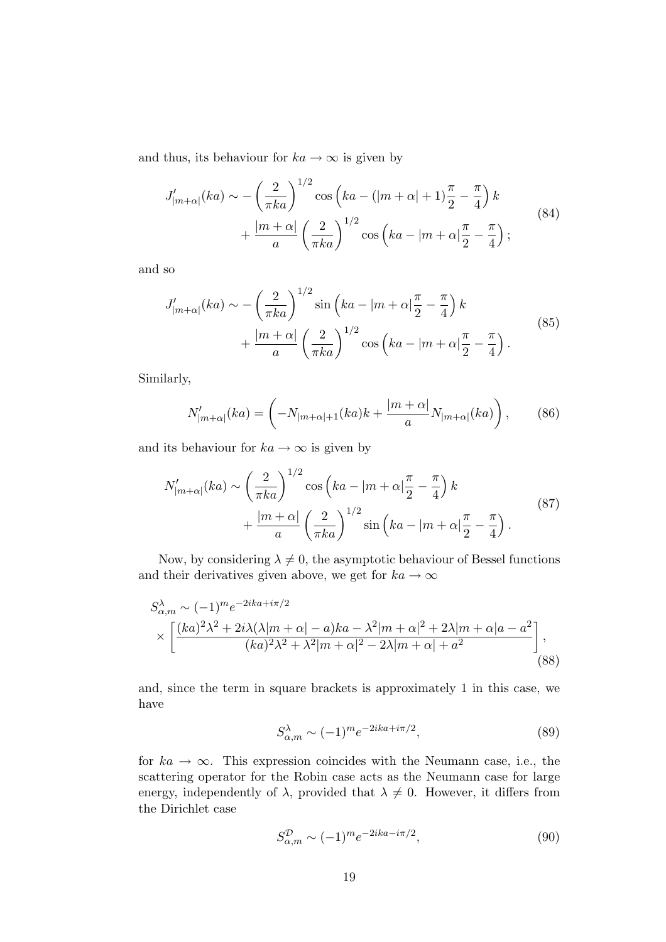and thus, its behaviour for  $ka \to \infty$  is given by

$$
J'_{|m+\alpha|}(ka) \sim -\left(\frac{2}{\pi ka}\right)^{1/2} \cos\left(ka - (|m+\alpha|+1)\frac{\pi}{2} - \frac{\pi}{4}\right)k
$$
  
 
$$
+ \frac{|m+\alpha|}{a} \left(\frac{2}{\pi ka}\right)^{1/2} \cos\left(ka - |m+\alpha|\frac{\pi}{2} - \frac{\pi}{4}\right);
$$
 (84)

and so

$$
J'_{|m+\alpha|}(ka) \sim -\left(\frac{2}{\pi ka}\right)^{1/2} \sin\left(ka - |m+\alpha|\frac{\pi}{2} - \frac{\pi}{4}\right)k + \frac{|m+\alpha|}{a} \left(\frac{2}{\pi ka}\right)^{1/2} \cos\left(ka - |m+\alpha|\frac{\pi}{2} - \frac{\pi}{4}\right).
$$
\n(85)

Similarly,

$$
N'_{|m+\alpha|}(ka) = \left(-N_{|m+\alpha|+1}(ka)k + \frac{|m+\alpha|}{a}N_{|m+\alpha|}(ka)\right),\tag{86}
$$

and its behaviour for  $ka \to \infty$  is given by

$$
N'_{|m+\alpha|}(ka) \sim \left(\frac{2}{\pi ka}\right)^{1/2} \cos\left(ka - |m+\alpha|\frac{\pi}{2} - \frac{\pi}{4}\right)k + \frac{|m+\alpha|}{a} \left(\frac{2}{\pi ka}\right)^{1/2} \sin\left(ka - |m+\alpha|\frac{\pi}{2} - \frac{\pi}{4}\right).
$$
\n(87)

Now, by considering  $\lambda \neq 0$ , the asymptotic behaviour of Bessel functions and their derivatives given above, we get for  $ka \to \infty$ 

$$
S_{\alpha,m}^{\lambda} \sim (-1)^m e^{-2ika + i\pi/2}
$$
  
 
$$
\times \left[ \frac{(ka)^2 \lambda^2 + 2i\lambda(\lambda|m+\alpha|-a)ka - \lambda^2|m+\alpha|^2 + 2\lambda|m+\alpha|a-a^2}{(ka)^2 \lambda^2 + \lambda^2|m+\alpha|^2 - 2\lambda|m+\alpha| + a^2} \right],
$$
(88)

and, since the term in square brackets is approximately 1 in this case, we have

$$
S_{\alpha,m}^{\lambda} \sim (-1)^m e^{-2ika + i\pi/2},\tag{89}
$$

for  $ka \to \infty$ . This expression coincides with the Neumann case, i.e., the scattering operator for the Robin case acts as the Neumann case for large energy, independently of  $\lambda$ , provided that  $\lambda \neq 0$ . However, it differs from the Dirichlet case

$$
S_{\alpha,m}^{\mathcal{D}} \sim (-1)^m e^{-2ika - i\pi/2},\tag{90}
$$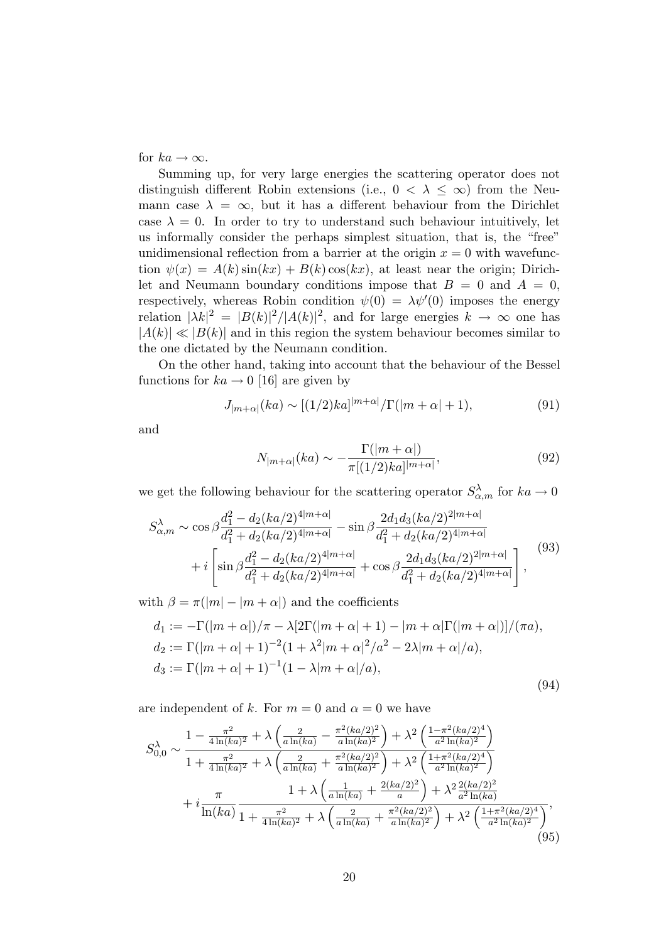for  $ka \to \infty$ .

Summing up, for very large energies the scattering operator does not distinguish different Robin extensions (i.e.,  $0 < \lambda \leq \infty$ ) from the Neumann case  $\lambda = \infty$ , but it has a different behaviour from the Dirichlet case  $\lambda = 0$ . In order to try to understand such behaviour intuitively, let us informally consider the perhaps simplest situation, that is, the "free" unidimensional reflection from a barrier at the origin  $x = 0$  with wavefunction  $\psi(x) = A(k) \sin(kx) + B(k) \cos(kx)$ , at least near the origin; Dirichlet and Neumann boundary conditions impose that  $B = 0$  and  $A = 0$ , respectively, whereas Robin condition  $\psi(0) = \lambda \psi'(0)$  imposes the energy relation  $|\lambda k|^2 = |B(k)|^2/|A(k)|^2$ , and for large energies  $k \to \infty$  one has  $|A(k)| \ll |B(k)|$  and in this region the system behaviour becomes similar to the one dictated by the Neumann condition.

On the other hand, taking into account that the behaviour of the Bessel functions for  $ka \rightarrow 0$  [16] are given by

$$
J_{|m+\alpha|}(ka) \sim [(1/2)ka]|m+\alpha|/\Gamma(|m+\alpha|+1), \tag{91}
$$

and

$$
N_{|m+\alpha|}(ka) \sim -\frac{\Gamma(|m+\alpha|)}{\pi[(1/2)ka]|m+\alpha|},\tag{92}
$$

we get the following behaviour for the scattering operator  $S^{\lambda}_{\alpha,m}$  for  $ka \to 0$ 

$$
S_{\alpha,m}^{\lambda} \sim \cos\beta \frac{d_1^2 - d_2(ka/2)^{4|m+\alpha|}}{d_1^2 + d_2(ka/2)^{4|m+\alpha|}} - \sin\beta \frac{2d_1d_3(ka/2)^{2|m+\alpha|}}{d_1^2 + d_2(ka/2)^{4|m+\alpha|}} + i \left[ \sin\beta \frac{d_1^2 - d_2(ka/2)^{4|m+\alpha|}}{d_1^2 + d_2(ka/2)^{4|m+\alpha|}} + \cos\beta \frac{2d_1d_3(ka/2)^{2|m+\alpha|}}{d_1^2 + d_2(ka/2)^{4|m+\alpha|}} \right],
$$
\n(93)

with  $\beta = \pi(|m| - |m + \alpha|)$  and the coefficients

$$
d_1 := -\Gamma(|m + \alpha|)/\pi - \lambda[2\Gamma(|m + \alpha| + 1) - |m + \alpha|\Gamma(|m + \alpha|)]/(\pi a),
$$
  
\n
$$
d_2 := \Gamma(|m + \alpha| + 1)^{-2}(1 + \lambda^2|m + \alpha|^2/a^2 - 2\lambda|m + \alpha|/a),
$$
  
\n
$$
d_3 := \Gamma(|m + \alpha| + 1)^{-1}(1 - \lambda|m + \alpha|/a),
$$
\n(94)

are independent of k. For  $m = 0$  and  $\alpha = 0$  we have

$$
S_{0,0}^{\lambda} \sim \frac{1 - \frac{\pi^2}{4\ln(ka)^2} + \lambda \left(\frac{2}{a\ln(ka)} - \frac{\pi^2(ka/2)^2}{a\ln(ka)^2}\right) + \lambda^2 \left(\frac{1 - \pi^2(ka/2)^4}{a^2\ln(ka)^2}\right)}{1 + \frac{\pi^2}{4\ln(ka)^2} + \lambda \left(\frac{2}{a\ln(ka)} + \frac{\pi^2(ka/2)^2}{a\ln(ka)^2}\right) + \lambda^2 \left(\frac{1 + \pi^2(ka/2)^4}{a^2\ln(ka)^2}\right)}
$$

$$
+ i \frac{\pi}{\ln(ka)} \frac{1 + \lambda \left(\frac{1}{a\ln(ka)} + \frac{2(ka/2)^2}{a}\right) + \lambda^2 \frac{2(ka/2)^2}{a^2\ln(ka)}}{1 + \frac{\pi^2}{4\ln(ka)^2} + \lambda \left(\frac{2}{a\ln(ka)} + \frac{\pi^2(ka/2)^2}{a\ln(ka)^2}\right) + \lambda^2 \left(\frac{1 + \pi^2(ka/2)^4}{a^2\ln(ka)^2}\right)},
$$
(95)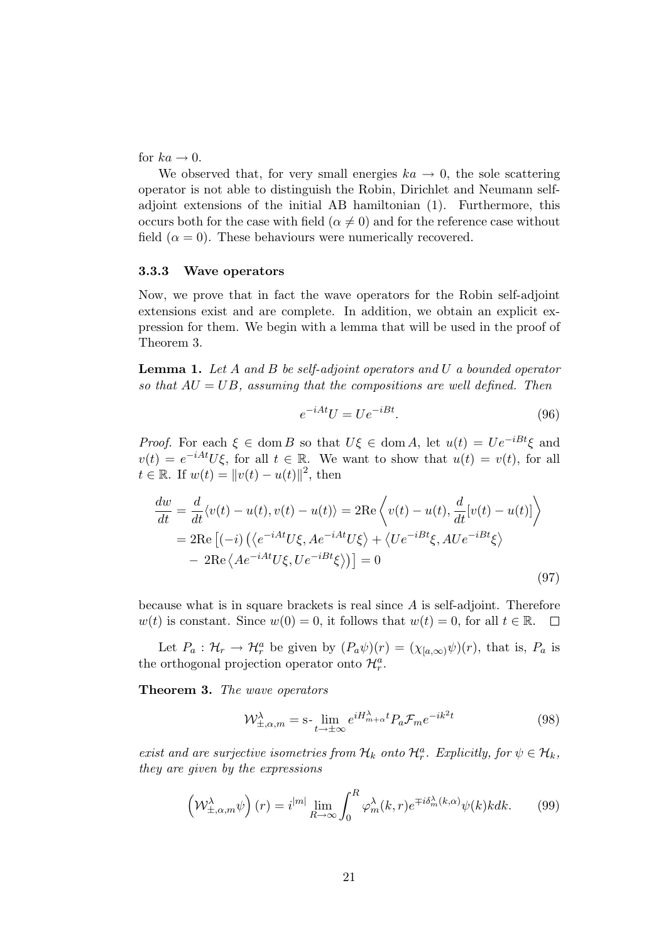for  $ka \rightarrow 0$ .

We observed that, for very small energies  $ka \rightarrow 0$ , the sole scattering operator is not able to distinguish the Robin, Dirichlet and Neumann selfadjoint extensions of the initial AB hamiltonian (1). Furthermore, this occurs both for the case with field ( $\alpha \neq 0$ ) and for the reference case without field  $(\alpha = 0)$ . These behaviours were numerically recovered.

### 3.3.3 Wave operators

Now, we prove that in fact the wave operators for the Robin self-adjoint extensions exist and are complete. In addition, we obtain an explicit expression for them. We begin with a lemma that will be used in the proof of Theorem 3.

**Lemma 1.** Let A and B be self-adjoint operators and U a bounded operator so that  $AU = UB$ , assuming that the compositions are well defined. Then

$$
e^{-iAt}U = Ue^{-iBt}.\tag{96}
$$

*Proof.* For each  $\xi \in \text{dom } B$  so that  $U\xi \in \text{dom } A$ , let  $u(t) = Ue^{-iBt}\xi$  and  $v(t) = e^{-iAt}U\xi$ , for all  $t \in \mathbb{R}$ . We want to show that  $u(t) = v(t)$ , for all  $t \in \mathbb{R}$ . If  $w(t) = ||v(t) - u(t)||^2$ , then

$$
\frac{dw}{dt} = \frac{d}{dt} \langle v(t) - u(t), v(t) - u(t) \rangle = 2\text{Re}\left\langle v(t) - u(t), \frac{d}{dt} [v(t) - u(t)] \right\rangle
$$
  
\n
$$
= 2\text{Re}\left[ (-i) \left( \langle e^{-iAt} U\xi, A e^{-iAt} U\xi \rangle + \langle U e^{-iBt}\xi, A U e^{-iBt}\xi \rangle \right) - 2\text{Re}\left\langle A e^{-iAt} U\xi, U e^{-iBt}\xi \rangle \right\rangle \right] = 0
$$
\n(97)

because what is in square brackets is real since A is self-adjoint. Therefore  $w(t)$  is constant. Since  $w(0) = 0$ , it follows that  $w(t) = 0$ , for all  $t \in \mathbb{R}$ .  $\Box$ 

Let  $P_a: \mathcal{H}_r \to \mathcal{H}_r^a$  be given by  $(P_a\psi)(r) = (\chi_{[a,\infty)}\psi)(r)$ , that is,  $P_a$  is the orthogonal projection operator onto  $\mathcal{H}_{r}^{a}$ .

Theorem 3. The wave operators

$$
\mathcal{W}_{\pm,\alpha,m}^{\lambda} = \mathbf{s} \cdot \lim_{t \to \pm \infty} e^{iH_{m+\alpha}^{\lambda}t} P_a \mathcal{F}_m e^{-ik^2t} \tag{98}
$$

exist and are surjective isometries from  $\mathcal{H}_k$  onto  $\mathcal{H}_r^a$ . Explicitly, for  $\psi \in \mathcal{H}_k$ , they are given by the expressions

$$
\left(\mathcal{W}_{\pm,\alpha,m}^{\lambda}\psi\right)(r) = i^{|m|} \lim_{R \to \infty} \int_0^R \varphi_m^{\lambda}(k,r) e^{\mp i\delta_m^{\lambda}(k,\alpha)} \psi(k) k dk. \tag{99}
$$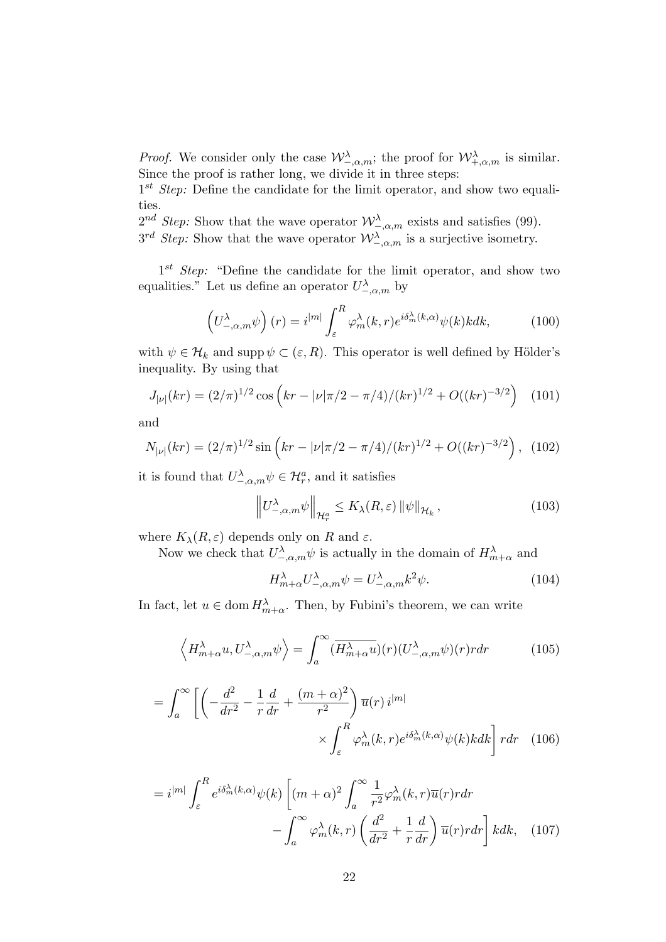*Proof.* We consider only the case  $\mathcal{W}^{\lambda}_{-\alpha,m}$ ; the proof for  $\mathcal{W}^{\lambda}_{+\alpha,m}$  is similar. Since the proof is rather long, we divide it in three steps:

 $1^{st}$  Step: Define the candidate for the limit operator, and show two equalities.

 $2^{nd}$  Step: Show that the wave operator  $\mathcal{W}^{\lambda}_{\lambda,\alpha,m}$  exists and satisfies (99).  $3^{rd}$  Step: Show that the wave operator  $\mathcal{W}^{\lambda}_{-\alpha,m}$  is a surjective isometry.

 $1^{st}$  *Step:* "Define the candidate for the limit operator, and show two equalities." Let us define an operator  $U^{\lambda}_{-,\alpha,m}$  by

$$
\left(U_{-,\alpha,m}^{\lambda}\psi\right)(r) = i^{|m|} \int_{\varepsilon}^{R} \varphi_m^{\lambda}(k,r) e^{i\delta_m^{\lambda}(k,\alpha)} \psi(k) k dk, \tag{100}
$$

with  $\psi \in \mathcal{H}_k$  and supp  $\psi \subset (\varepsilon, R)$ . This operator is well defined by Hölder's inequality. By using that

$$
J_{|\nu|}(kr) = (2/\pi)^{1/2} \cos\left(kr - |\nu|\pi/2 - \pi/4)/(kr)^{1/2} + O((kr)^{-3/2}\right) \tag{101}
$$

and

$$
N_{|\nu|}(kr) = (2/\pi)^{1/2} \sin\left(kr - |\nu|\pi/2 - \pi/4)/(kr)^{1/2} + O((kr)^{-3/2}\right), \tag{102}
$$

it is found that  $U^{\lambda}_{-\alpha,m} \psi \in \mathcal{H}^a_r$ , and it satisfies

$$
\left\| U^{\lambda}_{-,\alpha,m} \psi \right\|_{\mathcal{H}^a_r} \le K_{\lambda}(R,\varepsilon) \left\| \psi \right\|_{\mathcal{H}_k},\tag{103}
$$

where  $K_{\lambda}(R, \varepsilon)$  depends only on R and  $\varepsilon$ .

Now we check that  $U^{\lambda}_{-\alpha,m}\psi$  is actually in the domain of  $H^{\lambda}_{m+\alpha}$  and

$$
H_{m+\alpha}^{\lambda}U_{-\alpha,m}^{\lambda}\psi = U_{-\alpha,m}^{\lambda}k^2\psi.
$$
 (104)

In fact, let  $u \in \text{dom } H_{m+\alpha}^{\lambda}$ . Then, by Fubini's theorem, we can write

$$
\left\langle H_{m+\alpha}^{\lambda}u, U_{-\alpha,m}^{\lambda}\psi\right\rangle = \int_{a}^{\infty} \left(\overline{H_{m+\alpha}^{\lambda}u}\right)(r)\left(U_{-\alpha,m}^{\lambda}\psi\right)(r) r dr \tag{105}
$$

$$
= \int_{a}^{\infty} \left[ \left( -\frac{d^{2}}{dr^{2}} - \frac{1}{r} \frac{d}{dr} + \frac{(m+\alpha)^{2}}{r^{2}} \right) \overline{u}(r) i^{|m|} \right. \times \int_{\varepsilon}^{R} \varphi_{m}^{\lambda}(k, r) e^{i\delta_{m}^{\lambda}(k, \alpha)} \psi(k) k dk \right] r dr \quad (106)
$$

$$
=i^{|m|}\int_{\varepsilon}^{R}e^{i\delta_{m}^{\lambda}(k,\alpha)}\psi(k)\left[(m+\alpha)^{2}\int_{a}^{\infty}\frac{1}{r^{2}}\varphi_{m}^{\lambda}(k,r)\overline{u}(r)rdr\right]
$$

$$
-\int_{a}^{\infty}\varphi_{m}^{\lambda}(k,r)\left(\frac{d^{2}}{dr^{2}}+\frac{1}{r}\frac{d}{dr}\right)\overline{u}(r)rdr\right]kdk,\quad(107)
$$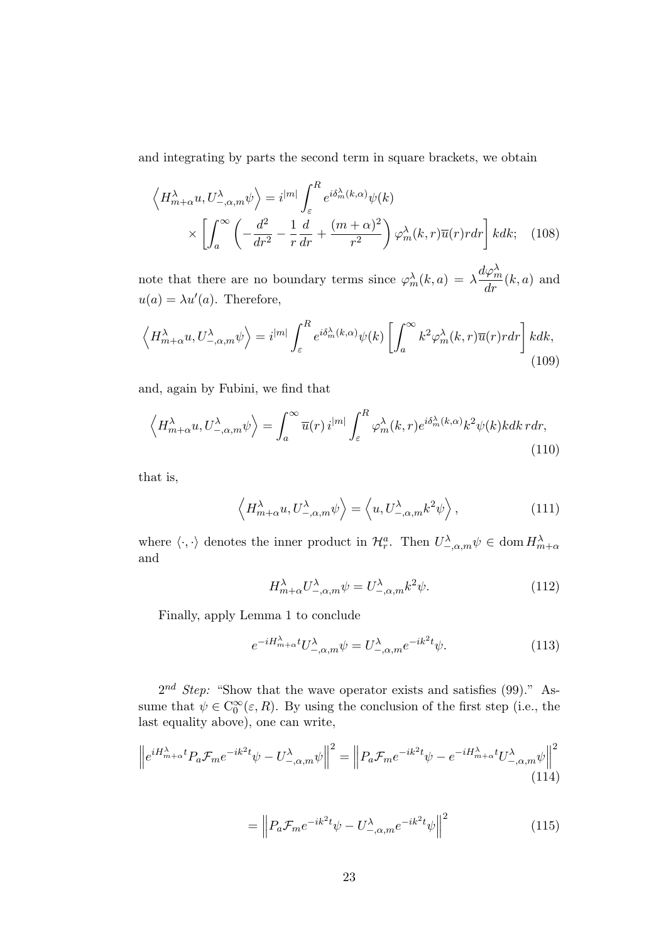and integrating by parts the second term in square brackets, we obtain

$$
\left\langle H_{m+\alpha}^{\lambda} u, U_{-\alpha,m}^{\lambda} \psi \right\rangle = i^{|m|} \int_{\varepsilon}^{R} e^{i\delta_{m}^{\lambda}(k,\alpha)} \psi(k)
$$

$$
\times \left[ \int_{a}^{\infty} \left( -\frac{d^{2}}{dr^{2}} - \frac{1}{r} \frac{d}{dr} + \frac{(m+\alpha)^{2}}{r^{2}} \right) \varphi_{m}^{\lambda}(k,r) \overline{u}(r) r dr \right] k dk; \quad (108)
$$

note that there are no boundary terms since  $\varphi_m^{\lambda}(k, a) = \lambda \frac{d\varphi_m^{\lambda}(k, a)}{dr}(k, a)$  and  $u(a) = \lambda u'(a)$ . Therefore,

$$
\left\langle H_{m+\alpha}^{\lambda}u, U_{-\alpha,m}^{\lambda}\psi\right\rangle = i^{|m|} \int_{\varepsilon}^{R} e^{i\delta_{m}^{\lambda}(k,\alpha)} \psi(k) \left[ \int_{a}^{\infty} k^{2} \varphi_{m}^{\lambda}(k,r) \overline{u}(r) r dr \right] k dk,
$$
\n(109)

and, again by Fubini, we find that

$$
\left\langle H_{m+\alpha}^{\lambda}u, U_{-\alpha,m}^{\lambda}\psi\right\rangle = \int_{a}^{\infty} \overline{u}(r) i^{|m|} \int_{\varepsilon}^{R} \varphi_{m}^{\lambda}(k,r) e^{i\delta_{m}^{\lambda}(k,\alpha)} k^{2} \psi(k) kdk \, r dr,
$$
\n(110)

that is,

$$
\left\langle H_{m+\alpha}^{\lambda} u, U_{-\alpha,m}^{\lambda} \psi \right\rangle = \left\langle u, U_{-\alpha,m}^{\lambda} k^2 \psi \right\rangle, \tag{111}
$$

where  $\langle \cdot, \cdot \rangle$  denotes the inner product in  $\mathcal{H}_{r}^{a}$ . Then  $U_{-\alpha,m}^{\lambda} \psi \in \text{dom } H_{m+\alpha}^{\lambda}$ and

$$
H_{m+\alpha}^{\lambda}U_{-\alpha,m}^{\lambda}\psi = U_{-\alpha,m}^{\lambda}k^{2}\psi.
$$
 (112)

Finally, apply Lemma 1 to conclude

$$
e^{-iH_{m+\alpha}^{\lambda}t}U_{-, \alpha, m}^{\lambda}\psi = U_{-, \alpha, m}^{\lambda}e^{-ik^{2}t}\psi.
$$
 (113)

 $2^{nd}$  Step: "Show that the wave operator exists and satisfies (99)." Assume that  $\psi \in C_0^{\infty}(\varepsilon, R)$ . By using the conclusion of the first step (i.e., the last equality above), one can write,

$$
\left\|e^{iH_{m+\alpha}^{\lambda}t}P_a\mathcal{F}_m e^{-ik^2t}\psi - U_{-,\alpha,m}^{\lambda}\psi\right\|^2 = \left\|P_a\mathcal{F}_m e^{-ik^2t}\psi - e^{-iH_{m+\alpha}^{\lambda}t}U_{-,\alpha,m}^{\lambda}\psi\right\|^2
$$
\n(114)

$$
= \left\| P_a \mathcal{F}_m e^{-ik^2 t} \psi - U_{-,\alpha,m}^{\lambda} e^{-ik^2 t} \psi \right\|^2 \tag{115}
$$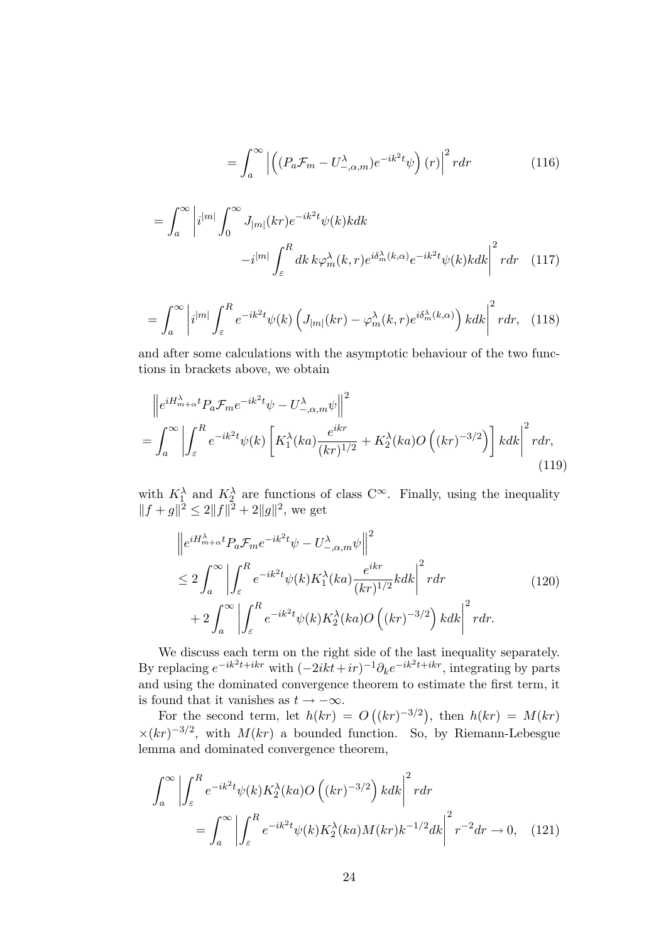$$
= \int_{a}^{\infty} \left| \left( (P_a \mathcal{F}_m - U_{-,\alpha,m}^{\lambda}) e^{-ik^2 t} \psi \right) (r) \right|^2 r dr \tag{116}
$$

$$
= \int_{a}^{\infty} \left| i^{|m|} \int_{0}^{\infty} J_{|m|}(kr) e^{-ik^{2}t} \psi(k)k dk - i^{|m|} \int_{\varepsilon}^{R} dk \, k \varphi_{m}^{\lambda}(k, r) e^{i\delta_{m}^{\lambda}(k, \alpha)} e^{-ik^{2}t} \psi(k)k dk \right|^{2} r dr \quad (117)
$$

$$
= \int_{a}^{\infty} \left| i^{|m|} \int_{\varepsilon}^{R} e^{-ik^2 t} \psi(k) \left( J_{|m|}(kr) - \varphi_m^{\lambda}(k, r) e^{i\delta_m^{\lambda}(k, \alpha)} \right) k dk \right|^2 r dr, \quad (118)
$$

and after some calculations with the asymptotic behaviour of the two functions in brackets above, we obtain

$$
\left\|e^{iH_{m+\alpha}^{\lambda}t}P_a\mathcal{F}_m e^{-ik^2t}\psi - U_{-\alpha,m}^{\lambda}\psi\right\|^2
$$
\n
$$
= \int_a^{\infty} \left| \int_{\varepsilon}^R e^{-ik^2t}\psi(k) \left[K_1^{\lambda}(ka)\frac{e^{ikr}}{(kr)^{1/2}} + K_2^{\lambda}(ka)O\left((kr)^{-3/2}\right)\right]kdk \right|^2 r dr,\tag{119}
$$

with  $K_1^{\lambda}$  and  $K_2^{\lambda}$  are functions of class  $C^{\infty}$ . Finally, using the inequality  $||f + g||^2 \le 2||f||^2 + 2||g||^2$ , we get

$$
\left\|e^{iH_{m+\alpha}^{\lambda}t}P_{a}\mathcal{F}_{m}e^{-ik^{2}t}\psi - U_{-,\alpha,m}^{\lambda}\psi\right\|^{2}
$$
  
\n
$$
\leq 2\int_{a}^{\infty}\left|\int_{\varepsilon}^{R}e^{-ik^{2}t}\psi(k)K_{1}^{\lambda}(ka)\frac{e^{ikr}}{(kr)^{1/2}}kdk\right|^{2}rdr
$$
  
\n
$$
+2\int_{a}^{\infty}\left|\int_{\varepsilon}^{R}e^{-ik^{2}t}\psi(k)K_{2}^{\lambda}(ka)O\left((kr)^{-3/2}\right)kdk\right|^{2}rdr.
$$
\n(120)

We discuss each term on the right side of the last inequality separately. By replacing  $e^{-ik^2t+ikr}$  with  $(-2ikt+ir)^{-1}\partial_k e^{-ik^2t+ikr}$ , integrating by parts and using the dominated convergence theorem to estimate the first term, it is found that it vanishes as  $t \to -\infty$ .

For the second term, let  $h(kr) = O((kr)^{-3/2})$ , then  $h(kr) = M(kr)$  $\times (kr)^{-3/2}$ , with  $M(kr)$  a bounded function. So, by Riemann-Lebesgue lemma and dominated convergence theorem,

$$
\int_{a}^{\infty} \left| \int_{\varepsilon}^{R} e^{-ik^{2}t} \psi(k) K_{2}^{\lambda}(ka) O\left((kr)^{-3/2}\right) k dk \right|^{2} r dr
$$

$$
= \int_{a}^{\infty} \left| \int_{\varepsilon}^{R} e^{-ik^{2}t} \psi(k) K_{2}^{\lambda}(ka) M(kr) k^{-1/2} dk \right|^{2} r^{-2} dr \to 0, \quad (121)
$$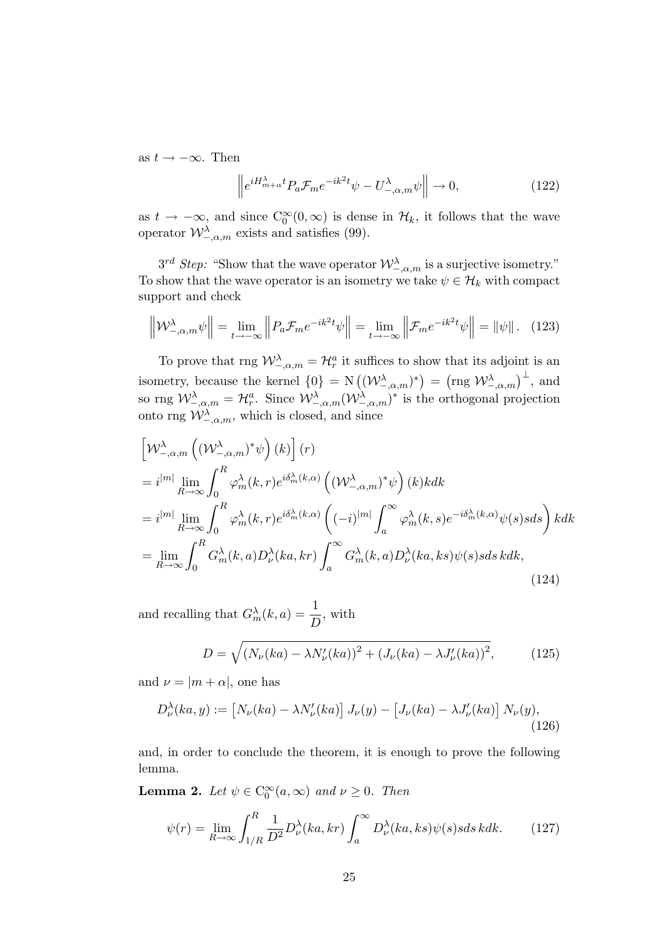as  $t \rightarrow -\infty$ . Then

$$
\left\| e^{iH_{m+\alpha}^{\lambda}t} P_a \mathcal{F}_m e^{-ik^2t} \psi - U_{-\alpha,m}^{\lambda} \psi \right\| \to 0, \tag{122}
$$

as  $t \to -\infty$ , and since  $C_0^{\infty}(0,\infty)$  is dense in  $\mathcal{H}_k$ , it follows that the wave operator  $\mathcal{W}^{\lambda}_{-\alpha,m}$  exists and satisfies (99).

 $3^{rd}$  Step: "Show that the wave operator  $\mathcal{W}^{\lambda}_{-\alpha,m}$  is a surjective isometry." To show that the wave operator is an isometry we take  $\psi \in \mathcal{H}_k$  with compact support and check

$$
\left\|\mathcal{W}^{\lambda}_{-,\alpha,m}\psi\right\| = \lim_{t \to -\infty} \left\|P_a \mathcal{F}_m e^{-ik^2 t} \psi\right\| = \lim_{t \to -\infty} \left\|\mathcal{F}_m e^{-ik^2 t} \psi\right\| = \|\psi\| \,.\tag{123}
$$

To prove that rng  $\mathcal{W}^{\lambda}_{-\alpha,m} = \mathcal{H}^a_r$  it suffices to show that its adjoint is an isometry, because the kernel  $\{0\} = \mathcal{N} \left( (\mathcal{W}_{-,\alpha,m}^{\lambda})^* \right) = \left( \text{rng } \mathcal{W}_{-,\alpha,m}^{\lambda} \right)^{\perp}$ , and so rng  $\mathcal{W}^{\lambda}_{-,\alpha,m} = \mathcal{H}^a_r$ . Since  $\mathcal{W}^{\lambda}_{-,\alpha,m}(\mathcal{W}^{\lambda}_{-,\alpha,m})^*$  is the orthogonal projection onto rng  $\mathcal{W}^{\lambda}_{-\alpha,m}$ , which is closed, and since

$$
\begin{split}\n&\left[\mathcal{W}^{\lambda}_{-,\alpha,m}\left((\mathcal{W}^{\lambda}_{-,\alpha,m})^{*}\psi\right)(k)\right](r) \\
&=i^{|m|}\lim_{R\to\infty}\int_{0}^{R}\varphi_{m}^{\lambda}(k,r)e^{i\delta_{m}^{\lambda}(k,\alpha)}\left((\mathcal{W}^{\lambda}_{-,\alpha,m})^{*}\psi\right)(k)kdk \\
&=i^{|m|}\lim_{R\to\infty}\int_{0}^{R}\varphi_{m}^{\lambda}(k,r)e^{i\delta_{m}^{\lambda}(k,\alpha)}\left((-i)^{|m|}\int_{a}^{\infty}\varphi_{m}^{\lambda}(k,s)e^{-i\delta_{m}^{\lambda}(k,\alpha)}\psi(s)ssds\right)kdk \\
&=\lim_{R\to\infty}\int_{0}^{R}G_{m}^{\lambda}(k,a)D_{\nu}^{\lambda}(ka,kr)\int_{a}^{\infty}G_{m}^{\lambda}(k,a)D_{\nu}^{\lambda}(ka,ks)\psi(s)sskdk,\n\end{split} \tag{124}
$$

and recalling that  $G_m^{\lambda}(k, a) = \frac{1}{D}$ , with

$$
D = \sqrt{(N_{\nu}(ka) - \lambda N_{\nu}'(ka))^2 + (J_{\nu}(ka) - \lambda J_{\nu}'(ka))^2},
$$
 (125)

and  $\nu = |m + \alpha|$ , one has

$$
D_{\nu}^{\lambda}(ka, y) := \left[N_{\nu}(ka) - \lambda N_{\nu}'(ka)\right]J_{\nu}(y) - \left[J_{\nu}(ka) - \lambda J_{\nu}'(ka)\right]N_{\nu}(y),\tag{126}
$$

and, in order to conclude the theorem, it is enough to prove the following lemma.

**Lemma 2.** Let  $\psi \in C_0^{\infty}(a,\infty)$  and  $\nu \geq 0$ . Then

$$
\psi(r) = \lim_{R \to \infty} \int_{1/R}^{R} \frac{1}{D^2} D_{\nu}^{\lambda}(ka, kr) \int_{a}^{\infty} D_{\nu}^{\lambda}(ka, ks) \psi(s) s ds k ds.
$$
 (127)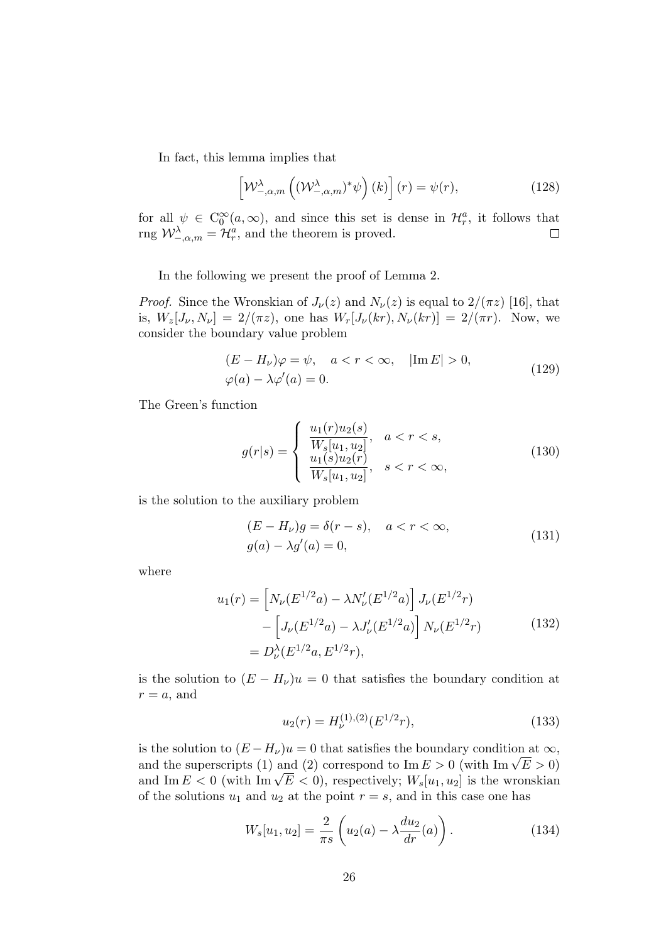In fact, this lemma implies that

$$
\left[\mathcal{W}^{\lambda}_{-\alpha,m}\left((\mathcal{W}^{\lambda}_{-\alpha,m})^*\psi\right)(k)\right](r) = \psi(r),\tag{128}
$$

for all  $\psi \in C_0^{\infty}(a,\infty)$ , and since this set is dense in  $\mathcal{H}_r^a$ , it follows that rng  $\mathcal{W}^{\lambda}_{-\alpha,m} = \mathcal{H}^a_r$ , and the theorem is proved.  $\Box$ 

In the following we present the proof of Lemma 2.

*Proof.* Since the Wronskian of  $J_{\nu}(z)$  and  $N_{\nu}(z)$  is equal to  $2/(\pi z)$  [16], that is,  $W_z[J_\nu, N_\nu] = 2/(\pi z)$ , one has  $W_r[J_\nu(kr), N_\nu(kr)] = 2/(\pi r)$ . Now, we consider the boundary value problem

$$
(E - H_{\nu})\varphi = \psi, \quad a < r < \infty, \quad |\text{Im } E| > 0,
$$
  

$$
\varphi(a) - \lambda \varphi'(a) = 0.
$$
 (129)

The Green's function

$$
g(r|s) = \begin{cases} \frac{u_1(r)u_2(s)}{W_s[u_1, u_2]}, & a < r < s, \\ \frac{u_1(s)u_2(r)}{W_s[u_1, u_2]}, & s < r < \infty, \end{cases}
$$
(130)

is the solution to the auxiliary problem

$$
(E - H_{\nu})g = \delta(r - s), \quad a < r < \infty,
$$
\n
$$
g(a) - \lambda g'(a) = 0,\tag{131}
$$

where

$$
u_1(r) = \left[ N_{\nu}(E^{1/2}a) - \lambda N_{\nu}'(E^{1/2}a) \right] J_{\nu}(E^{1/2}r)
$$

$$
- \left[ J_{\nu}(E^{1/2}a) - \lambda J_{\nu}'(E^{1/2}a) \right] N_{\nu}(E^{1/2}r)
$$

$$
= D_{\nu}^{\lambda}(E^{1/2}a, E^{1/2}r), \qquad (132)
$$

is the solution to  $(E - H_{\nu})u = 0$  that satisfies the boundary condition at  $r = a$ , and

$$
u_2(r) = H_{\nu}^{(1),(2)}(E^{1/2}r),\tag{133}
$$

is the solution to  $(E - H_{\nu})u = 0$  that satisfies the boundary condition at  $\infty$ , and the superscripts (1) and (2) correspond to  $\text{Im } E > 0$  (with  $\text{Im }\sqrt{E} > 0$ ) and Im  $E < 0$  (with Im  $\sqrt{E} < 0$ ), respectively;  $W_s[u_1, u_2]$  is the wronskian of the solutions  $u_1$  and  $u_2$  at the point  $r = s$ , and in this case one has

$$
W_s[u_1, u_2] = \frac{2}{\pi s} \left( u_2(a) - \lambda \frac{du_2}{dr}(a) \right).
$$
 (134)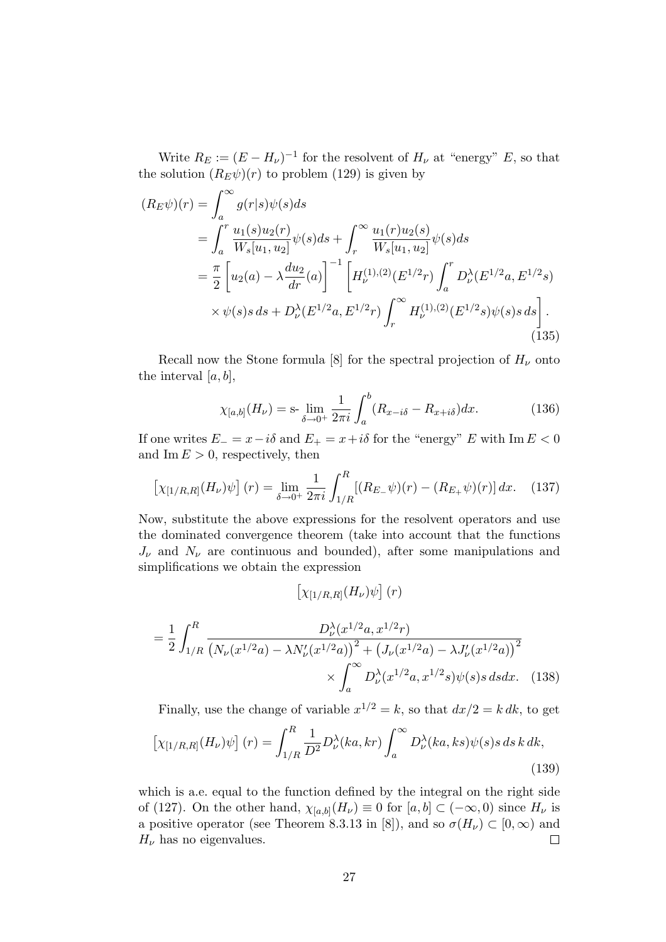Write  $R_E := (E - H_\nu)^{-1}$  for the resolvent of  $H_\nu$  at "energy" E, so that the solution  $(R_E\psi)(r)$  to problem (129) is given by

$$
(R_E \psi)(r) = \int_a^{\infty} g(r|s) \psi(s) ds
$$
  
= 
$$
\int_a^r \frac{u_1(s) u_2(r)}{W_s[u_1, u_2]} \psi(s) ds + \int_r^{\infty} \frac{u_1(r) u_2(s)}{W_s[u_1, u_2]} \psi(s) ds
$$
  
= 
$$
\frac{\pi}{2} \left[ u_2(a) - \lambda \frac{du_2}{dr}(a) \right]^{-1} \left[ H_{\nu}^{(1),(2)}(E^{1/2}r) \int_a^r D_{\nu}^{\lambda}(E^{1/2}a, E^{1/2}s) \times \psi(s) s ds + D_{\nu}^{\lambda}(E^{1/2}a, E^{1/2}r) \int_r^{\infty} H_{\nu}^{(1),(2)}(E^{1/2}s) \psi(s) s ds \right].
$$
  
(135)

Recall now the Stone formula [8] for the spectral projection of  $H_{\nu}$  onto the interval  $[a, b]$ ,

$$
\chi_{[a,b]}(H_{\nu}) = \text{s-} \lim_{\delta \to 0^+} \frac{1}{2\pi i} \int_a^b (R_{x-i\delta} - R_{x+i\delta}) dx. \tag{136}
$$

If one writes  $E_ - = x - i\delta$  and  $E_ + = x + i\delta$  for the "energy" E with Im  $E < 0$ and Im  $E > 0$ , respectively, then

$$
\left[\chi_{[1/R,R]}(H_{\nu})\psi\right](r) = \lim_{\delta \to 0^+} \frac{1}{2\pi i} \int_{1/R}^R \left[ (R_{E_{-}}\psi)(r) - (R_{E_{+}}\psi)(r) \right] dx. \tag{137}
$$

Now, substitute the above expressions for the resolvent operators and use the dominated convergence theorem (take into account that the functions  $J_{\nu}$  and  $N_{\nu}$  are continuous and bounded), after some manipulations and simplifications we obtain the expression

$$
\left[\chi_{[1/R,R]}(H_\nu)\psi\right](r)
$$

$$
= \frac{1}{2} \int_{1/R}^{R} \frac{D_{\nu}^{\lambda}(x^{1/2}a, x^{1/2}r)}{\left(N_{\nu}(x^{1/2}a) - \lambda N_{\nu}'(x^{1/2}a)\right)^{2} + \left(J_{\nu}(x^{1/2}a) - \lambda J_{\nu}'(x^{1/2}a)\right)^{2}} \times \int_{a}^{\infty} D_{\nu}^{\lambda}(x^{1/2}a, x^{1/2}s)\psi(s)s \, ds dx. \tag{138}
$$

Finally, use the change of variable  $x^{1/2} = k$ , so that  $dx/2 = k dk$ , to get  $\overline{R}$ 

$$
\left[\chi_{[1/R,R]}(H_{\nu})\psi\right](r) = \int_{1/R}^{R} \frac{1}{D^2} D_{\nu}^{\lambda}(ka, kr) \int_{a}^{\infty} D_{\nu}^{\lambda}(ka, ks) \psi(s) s \, ds \, k \, dk,
$$
\n(139)

which is a.e. equal to the function defined by the integral on the right side of (127). On the other hand,  $\chi_{[a,b]}(H_\nu) \equiv 0$  for  $[a, b] \subset (-\infty, 0)$  since  $H_\nu$  is a positive operator (see Theorem 8.3.13 in [8]), and so  $\sigma(H_{\nu}) \subset [0,\infty)$  and  $H_{\nu}$  has no eigenvalues.  $H_{\nu}$  has no eigenvalues.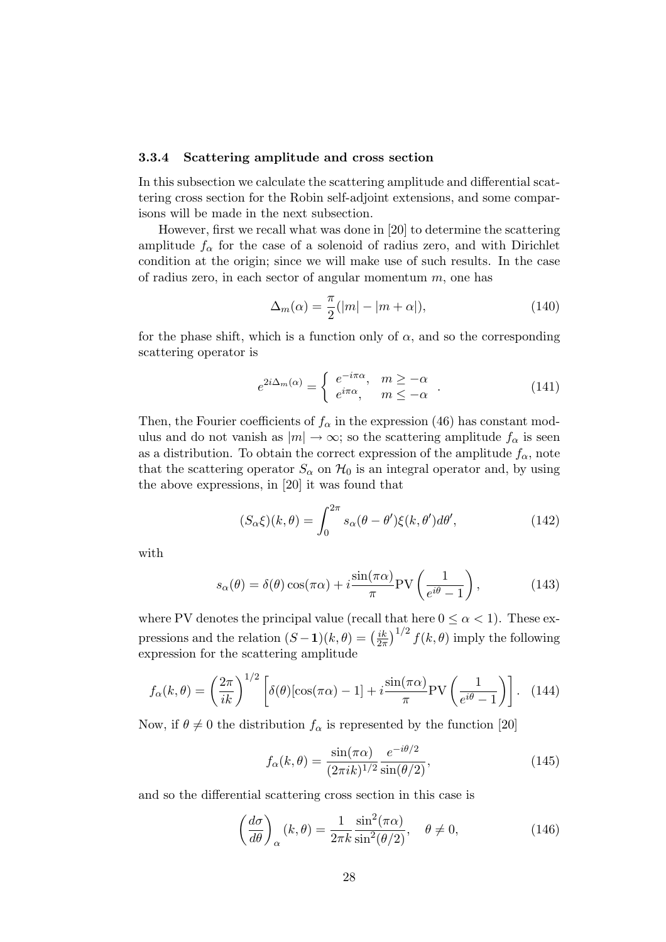#### 3.3.4 Scattering amplitude and cross section

In this subsection we calculate the scattering amplitude and differential scattering cross section for the Robin self-adjoint extensions, and some comparisons will be made in the next subsection.

However, first we recall what was done in [20] to determine the scattering amplitude  $f_{\alpha}$  for the case of a solenoid of radius zero, and with Dirichlet condition at the origin; since we will make use of such results. In the case of radius zero, in each sector of angular momentum  $m$ , one has

$$
\Delta_m(\alpha) = \frac{\pi}{2}(|m| - |m + \alpha|),\tag{140}
$$

for the phase shift, which is a function only of  $\alpha$ , and so the corresponding scattering operator is

$$
e^{2i\Delta_m(\alpha)} = \begin{cases} e^{-i\pi\alpha}, & m \ge -\alpha \\ e^{i\pi\alpha}, & m \le -\alpha \end{cases} . \tag{141}
$$

Then, the Fourier coefficients of  $f_{\alpha}$  in the expression (46) has constant modulus and do not vanish as  $|m| \to \infty$ ; so the scattering amplitude  $f_{\alpha}$  is seen as a distribution. To obtain the correct expression of the amplitude  $f_{\alpha}$ , note that the scattering operator  $S_{\alpha}$  on  $\mathcal{H}_0$  is an integral operator and, by using the above expressions, in [20] it was found that

$$
(S_{\alpha}\xi)(k,\theta) = \int_0^{2\pi} s_{\alpha}(\theta - \theta')\xi(k,\theta')d\theta',\qquad(142)
$$

with

$$
s_{\alpha}(\theta) = \delta(\theta)\cos(\pi\alpha) + i\frac{\sin(\pi\alpha)}{\pi}PV\left(\frac{1}{e^{i\theta} - 1}\right),\tag{143}
$$

where PV denotes the principal value (recall that here  $0 \leq \alpha < 1$ ). These expressions and the relation  $(S-1)(k, \theta) = \left(\frac{ik}{2\pi}\right)^{1/2} f(k, \theta)$  imply the following expression for the scattering amplitude

$$
f_{\alpha}(k,\theta) = \left(\frac{2\pi}{ik}\right)^{1/2} \left[\delta(\theta)[\cos(\pi\alpha) - 1] + i\frac{\sin(\pi\alpha)}{\pi}PV\left(\frac{1}{e^{i\theta} - 1}\right)\right].
$$
 (144)

Now, if  $\theta \neq 0$  the distribution  $f_{\alpha}$  is represented by the function [20]

$$
f_{\alpha}(k,\theta) = \frac{\sin(\pi\alpha)}{(2\pi i k)^{1/2}} \frac{e^{-i\theta/2}}{\sin(\theta/2)},
$$
\n(145)

and so the differential scattering cross section in this case is

$$
\left(\frac{d\sigma}{d\theta}\right)_{\alpha}(k,\theta) = \frac{1}{2\pi k} \frac{\sin^2(\pi \alpha)}{\sin^2(\theta/2)}, \quad \theta \neq 0,
$$
\n(146)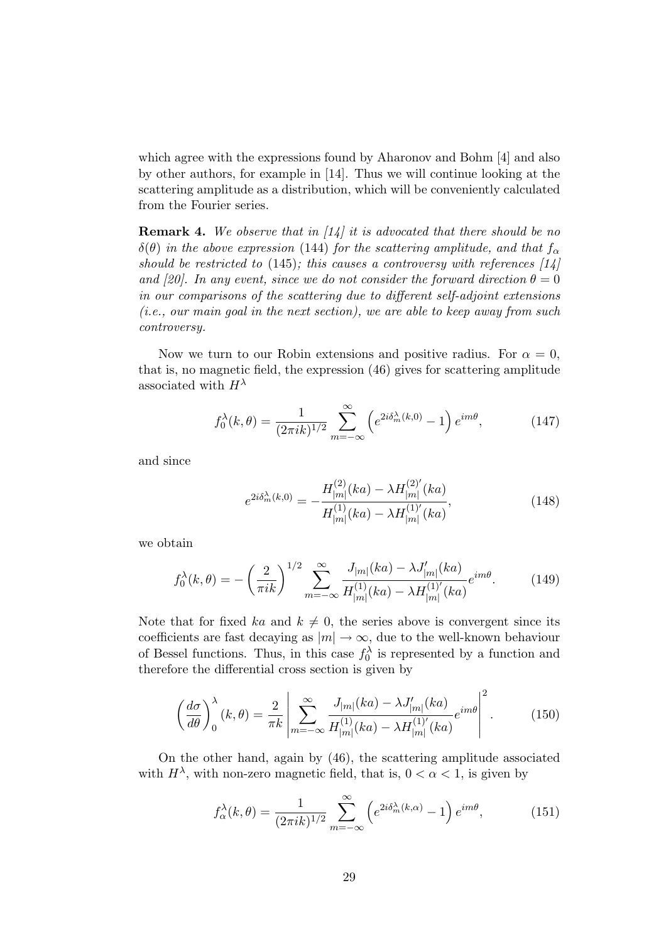which agree with the expressions found by Aharonov and Bohm [4] and also by other authors, for example in [14]. Thus we will continue looking at the scattering amplitude as a distribution, which will be conveniently calculated from the Fourier series.

**Remark 4.** We observe that in  $\left[1\right]$  it is advocated that there should be no  $\delta(\theta)$  in the above expression (144) for the scattering amplitude, and that  $f_{\alpha}$ should be restricted to (145); this causes a controversy with references  $[14]$ and [20]. In any event, since we do not consider the forward direction  $\theta = 0$ in our comparisons of the scattering due to different self-adjoint extensions (i.e., our main goal in the next section), we are able to keep away from such controversy.

Now we turn to our Robin extensions and positive radius. For  $\alpha = 0$ , that is, no magnetic field, the expression (46) gives for scattering amplitude associated with  $H^{\lambda}$ 

$$
f_0^{\lambda}(k,\theta) = \frac{1}{(2\pi i k)^{1/2}} \sum_{m=-\infty}^{\infty} \left( e^{2i\delta_m^{\lambda}(k,0)} - 1 \right) e^{im\theta},\tag{147}
$$

and since

$$
e^{2i\delta_m^{\lambda}(k,0)} = -\frac{H_{|m|}^{(2)}(ka) - \lambda H_{|m|}^{(2)'}(ka)}{H_{|m|}^{(1)}(ka) - \lambda H_{|m|}^{(1)'}(ka)},
$$
(148)

we obtain

$$
f_0^{\lambda}(k,\theta) = -\left(\frac{2}{\pi ik}\right)^{1/2} \sum_{m=-\infty}^{\infty} \frac{J_{|m|}(ka) - \lambda J'_{|m|}(ka)}{H_{|m|}^{(1)}(ka) - \lambda H_{|m|}^{(1)'}(ka)} e^{im\theta}.
$$
 (149)

Note that for fixed ka and  $k \neq 0$ , the series above is convergent since its coefficients are fast decaying as  $|m| \to \infty$ , due to the well-known behaviour of Bessel functions. Thus, in this case  $f_0^{\lambda}$  is represented by a function and therefore the differential cross section is given by

$$
\left(\frac{d\sigma}{d\theta}\right)_0^\lambda(k,\theta) = \frac{2}{\pi k} \left| \sum_{m=-\infty}^\infty \frac{J_{|m|}(ka) - \lambda J'_{|m|}(ka)}{H_{|m|}^{(1)}(ka) - \lambda H_{|m|}^{(1)'}(ka)} e^{im\theta} \right|^2.
$$
 (150)

On the other hand, again by (46), the scattering amplitude associated with  $H^{\lambda}$ , with non-zero magnetic field, that is,  $0 < \alpha < 1$ , is given by

$$
f_{\alpha}^{\lambda}(k,\theta) = \frac{1}{(2\pi i k)^{1/2}} \sum_{m=-\infty}^{\infty} \left( e^{2i\delta_m^{\lambda}(k,\alpha)} - 1 \right) e^{im\theta},\tag{151}
$$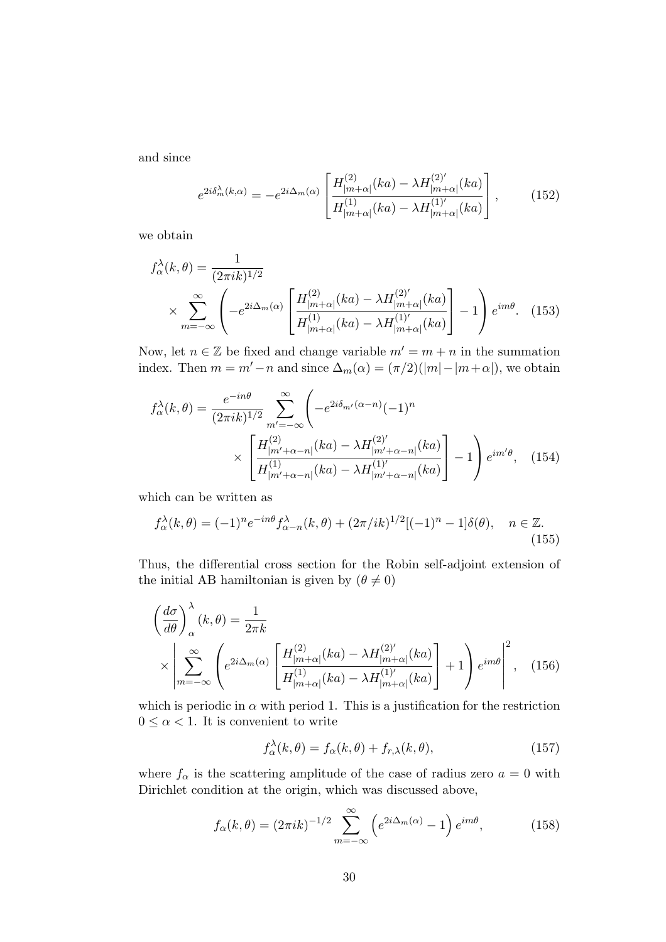and since

$$
e^{2i\delta_m^{\lambda}(k,\alpha)} = -e^{2i\Delta_m(\alpha)} \left[ \frac{H_{|m+\alpha|}^{(2)}(ka) - \lambda H_{|m+\alpha|}^{(2)'}(ka)}{H_{|m+\alpha|}^{(1)}(ka) - \lambda H_{|m+\alpha|}^{(1)'}(ka)} \right],
$$
(152)

we obtain

$$
f_{\alpha}^{\lambda}(k,\theta) = \frac{1}{(2\pi i k)^{1/2}} \times \sum_{m=-\infty}^{\infty} \left( -e^{2i\Delta_m(\alpha)} \left[ \frac{H_{|m+\alpha|}^{(2)}(ka) - \lambda H_{|m+\alpha|}^{(2)'}(ka)}{H_{|m+\alpha|}^{(1)}(ka) - \lambda H_{|m+\alpha|}^{(1)'}(ka)} \right] - 1 \right) e^{im\theta}.
$$
 (153)

Now, let  $n \in \mathbb{Z}$  be fixed and change variable  $m' = m + n$  in the summation index. Then  $m = m'-n$  and since  $\Delta_m(\alpha) = (\pi/2)(|m|-|m+\alpha|)$ , we obtain

$$
f_{\alpha}^{\lambda}(k,\theta) = \frac{e^{-in\theta}}{(2\pi i k)^{1/2}} \sum_{m'=-\infty}^{\infty} \left( -e^{2i\delta_{m'}(\alpha-n)} (-1)^n \times \left[ \frac{H_{|m'+\alpha-n|}^{(2)}(ka) - \lambda H_{|m'+\alpha-n|}^{(2)'}(ka)}{H_{|m'+\alpha-n|}^{(1)}(ka) - \lambda H_{|m'+\alpha-n|}^{(1)'}(ka)} \right] - 1 \right) e^{im'\theta}, \quad (154)
$$

which can be written as

$$
f_{\alpha}^{\lambda}(k,\theta) = (-1)^{n} e^{-in\theta} f_{\alpha-n}^{\lambda}(k,\theta) + (2\pi/ik)^{1/2} [(-1)^{n} - 1] \delta(\theta), \quad n \in \mathbb{Z}.
$$
\n(155)

Thus, the differential cross section for the Robin self-adjoint extension of the initial AB hamiltonian is given by  $(\theta \neq 0)$ 

$$
\left(\frac{d\sigma}{d\theta}\right)_{\alpha}^{\lambda}(k,\theta) = \frac{1}{2\pi k}
$$
\n
$$
\times \left| \sum_{m=-\infty}^{\infty} \left(e^{2i\Delta_m(\alpha)} \left[\frac{H_{|m+\alpha|}^{(2)}(ka) - \lambda H_{|m+\alpha|}^{(2)'}(ka)}{H_{|m+\alpha|}^{(1)}(ka) - \lambda H_{|m+\alpha|}^{(1)'}(ka)}\right] + 1\right)e^{im\theta}\right|^2, \quad (156)
$$

which is periodic in  $\alpha$  with period 1. This is a justification for the restriction  $0 \leq \alpha < 1$ . It is convenient to write

$$
f_{\alpha}^{\lambda}(k,\theta) = f_{\alpha}(k,\theta) + f_{r,\lambda}(k,\theta), \qquad (157)
$$

where  $f_{\alpha}$  is the scattering amplitude of the case of radius zero  $a = 0$  with Dirichlet condition at the origin, which was discussed above,

$$
f_{\alpha}(k,\theta) = (2\pi i k)^{-1/2} \sum_{m=-\infty}^{\infty} \left( e^{2i\Delta_m(\alpha)} - 1 \right) e^{im\theta}, \qquad (158)
$$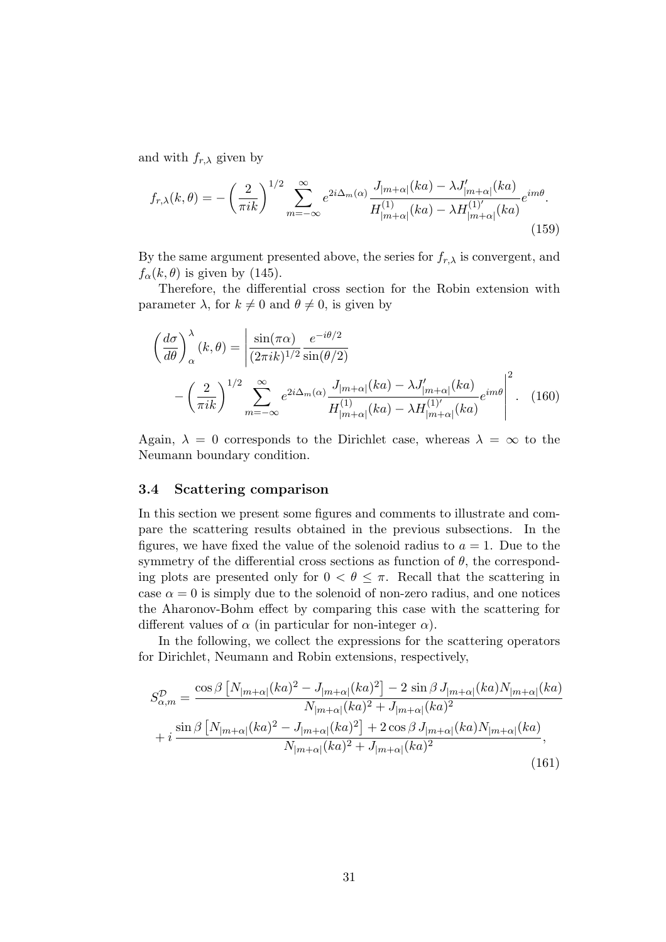and with  $f_{r,\lambda}$  given by

$$
f_{r,\lambda}(k,\theta) = -\left(\frac{2}{\pi ik}\right)^{1/2} \sum_{m=-\infty}^{\infty} e^{2i\Delta_m(\alpha)} \frac{J_{|m+\alpha|}(ka) - \lambda J'_{|m+\alpha|}(ka)}{H_{|m+\alpha|}^{(1)}(ka) - \lambda H_{|m+\alpha|}^{(1)'}(ka)} e^{im\theta}.
$$
\n(159)

By the same argument presented above, the series for  $f_{r,\lambda}$  is convergent, and  $f_{\alpha}(k, \theta)$  is given by (145).

Therefore, the differential cross section for the Robin extension with parameter  $\lambda$ , for  $k \neq 0$  and  $\theta \neq 0$ , is given by

$$
\left(\frac{d\sigma}{d\theta}\right)_{\alpha}^{\lambda}(k,\theta) = \left|\frac{\sin(\pi\alpha)}{(2\pi i k)^{1/2}}\frac{e^{-i\theta/2}}{\sin(\theta/2)} - \left(\frac{2}{\pi i k}\right)^{1/2}\sum_{m=-\infty}^{\infty} e^{2i\Delta_m(\alpha)}\frac{J_{|m+\alpha|}(ka) - \lambda J'_{|m+\alpha|}(ka)}{H_{|m+\alpha|}^{(1)}(ka) - \lambda H_{|m+\alpha|}^{(1)'}(ka)}e^{im\theta}\right|^2.
$$
 (160)

Again,  $\lambda = 0$  corresponds to the Dirichlet case, whereas  $\lambda = \infty$  to the Neumann boundary condition.

### 3.4 Scattering comparison

In this section we present some figures and comments to illustrate and compare the scattering results obtained in the previous subsections. In the figures, we have fixed the value of the solenoid radius to  $a = 1$ . Due to the symmetry of the differential cross sections as function of  $\theta$ , the corresponding plots are presented only for  $0 < \theta \leq \pi$ . Recall that the scattering in case  $\alpha = 0$  is simply due to the solenoid of non-zero radius, and one notices the Aharonov-Bohm effect by comparing this case with the scattering for different values of  $\alpha$  (in particular for non-integer  $\alpha$ ).

In the following, we collect the expressions for the scattering operators for Dirichlet, Neumann and Robin extensions, respectively,

$$
S_{\alpha,m}^{\mathcal{D}} = \frac{\cos\beta \left[ N_{|m+\alpha|}(ka)^2 - J_{|m+\alpha|}(ka)^2 \right] - 2\sin\beta J_{|m+\alpha|}(ka)N_{|m+\alpha|}(ka)}{N_{|m+\alpha|}(ka)^2 + J_{|m+\alpha|}(ka)^2} + i \frac{\sin\beta \left[ N_{|m+\alpha|}(ka)^2 - J_{|m+\alpha|}(ka)^2 \right] + 2\cos\beta J_{|m+\alpha|}(ka)N_{|m+\alpha|}(ka)}{N_{|m+\alpha|}(ka)^2 + J_{|m+\alpha|}(ka)^2},
$$
\n(161)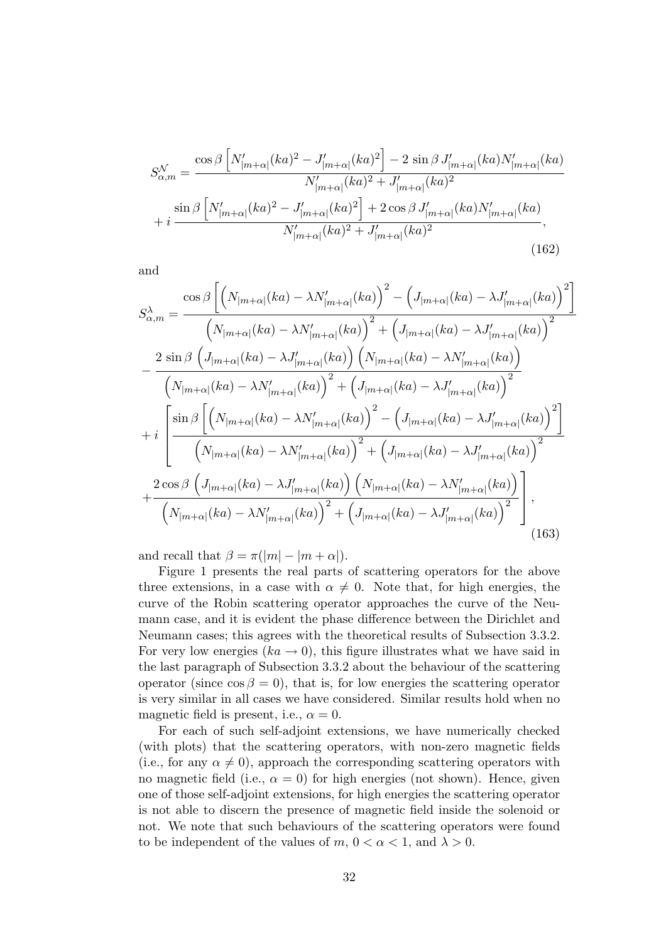$$
S_{\alpha,m}^{\mathcal{N}} = \frac{\cos\beta \left[ N_{|m+\alpha|}'(ka)^2 - J_{|m+\alpha|}'(ka)^2 \right] - 2\sin\beta J_{|m+\alpha|}'(ka)N_{|m+\alpha|}'(ka)}{N_{|m+\alpha|}'(ka)^2 + J_{|m+\alpha|}'(ka)^2} + i \frac{\sin\beta \left[ N_{|m+\alpha|}'(ka)^2 - J_{|m+\alpha|}'(ka)^2 \right] + 2\cos\beta J_{|m+\alpha|}'(ka)N_{|m+\alpha|}'(ka)}{N_{|m+\alpha|}'(ka)^2 + J_{|m+\alpha|}'(ka)^2},\tag{162}
$$

and

$$
S_{\alpha,m}^{\lambda} = \frac{\cos\beta \left[ \left( N_{|m+\alpha|}(ka) - \lambda N_{|m+\alpha|}'(ka) \right)^2 - \left( J_{|m+\alpha|}(ka) - \lambda J_{|m+\alpha|}'(ka) \right)^2 \right]}{\left( N_{|m+\alpha|}(ka) - \lambda N_{|m+\alpha|}'(ka) \right)^2 + \left( J_{|m+\alpha|}(ka) - \lambda J_{|m+\alpha|}'(ka) \right)^2}
$$

$$
- \frac{2 \sin\beta \left( J_{|m+\alpha|}(ka) - \lambda J_{|m+\alpha|}'(ka) \right) \left( N_{|m+\alpha|}(ka) - \lambda N_{|m+\alpha|}'(ka) \right)}{\left( N_{|m+\alpha|}(ka) - \lambda N_{|m+\alpha|}'(ka) \right)^2 + \left( J_{|m+\alpha|}(ka) - \lambda J_{|m+\alpha|}'(ka) \right)^2}
$$

$$
+ i \left[ \frac{\sin\beta \left[ \left( N_{|m+\alpha|}(ka) - \lambda N_{|m+\alpha|}'(ka) \right)^2 - \left( J_{|m+\alpha|}(ka) - \lambda J_{|m+\alpha|}'(ka) \right)^2 \right]}{\left( N_{|m+\alpha|}(ka) - \lambda N_{|m+\alpha|}'(ka) \right)^2 + \left( J_{|m+\alpha|}(ka) - \lambda J_{|m+\alpha|}'(ka) \right)^2} \right]
$$

$$
+ \frac{2 \cos\beta \left( J_{|m+\alpha|}(ka) - \lambda J_{|m+\alpha|}'(ka) \right) \left( N_{|m+\alpha|}(ka) - \lambda N_{|m+\alpha|}'(ka) \right)}{\left( N_{|m+\alpha|}(ka) - \lambda N_{|m+\alpha|}'(ka) \right)^2 + \left( J_{|m+\alpha|}(ka) - \lambda J_{|m+\alpha|}'(ka) \right)^2} \right], \tag{163}
$$

and recall that  $\beta = \pi(|m| - |m + \alpha|)$ .

Figure 1 presents the real parts of scattering operators for the above three extensions, in a case with  $\alpha \neq 0$ . Note that, for high energies, the curve of the Robin scattering operator approaches the curve of the Neumann case, and it is evident the phase difference between the Dirichlet and Neumann cases; this agrees with the theoretical results of Subsection 3.3.2. For very low energies  $(ka \rightarrow 0)$ , this figure illustrates what we have said in the last paragraph of Subsection 3.3.2 about the behaviour of the scattering operator (since  $\cos \beta = 0$ ), that is, for low energies the scattering operator is very similar in all cases we have considered. Similar results hold when no magnetic field is present, i.e.,  $\alpha = 0$ .

For each of such self-adjoint extensions, we have numerically checked (with plots) that the scattering operators, with non-zero magnetic fields (i.e., for any  $\alpha \neq 0$ ), approach the corresponding scattering operators with no magnetic field (i.e.,  $\alpha = 0$ ) for high energies (not shown). Hence, given one of those self-adjoint extensions, for high energies the scattering operator is not able to discern the presence of magnetic field inside the solenoid or not. We note that such behaviours of the scattering operators were found to be independent of the values of m,  $0 < \alpha < 1$ , and  $\lambda > 0$ .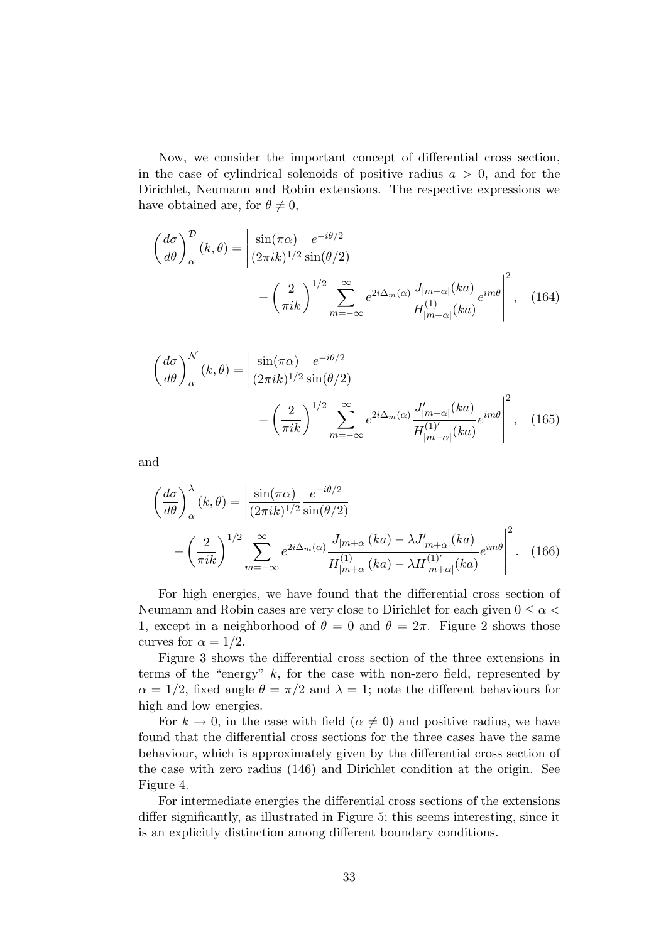Now, we consider the important concept of differential cross section, in the case of cylindrical solenoids of positive radius  $a > 0$ , and for the Dirichlet, Neumann and Robin extensions. The respective expressions we have obtained are, for  $\theta \neq 0$ ,

$$
\left(\frac{d\sigma}{d\theta}\right)_{\alpha}^{\mathcal{D}}(k,\theta) = \left|\frac{\sin(\pi\alpha)}{(2\pi i k)^{1/2}}\frac{e^{-i\theta/2}}{\sin(\theta/2)} - \left(\frac{2}{\pi i k}\right)^{1/2}\sum_{m=-\infty}^{\infty} e^{2i\Delta_m(\alpha)}\frac{J_{|m+\alpha|}(ka)}{H_{|m+\alpha|}^{(1)}(ka)}e^{im\theta}\right|^2, \quad (164)
$$

$$
\left(\frac{d\sigma}{d\theta}\right)_{\alpha}^{\mathcal{N}}(k,\theta) = \left|\frac{\sin(\pi\alpha)}{(2\pi i k)^{1/2}}\frac{e^{-i\theta/2}}{\sin(\theta/2)} - \left(\frac{2}{\pi i k}\right)^{1/2}\sum_{m=-\infty}^{\infty} e^{2i\Delta_m(\alpha)}\frac{J'_{|m+\alpha|}(ka)}{H_{|m+\alpha|}^{(1)'}(ka)}e^{im\theta}\right|^2, \quad (165)
$$

and

$$
\left(\frac{d\sigma}{d\theta}\right)_{\alpha}^{\lambda}(k,\theta) = \left|\frac{\sin(\pi\alpha)}{(2\pi i k)^{1/2}}\frac{e^{-i\theta/2}}{\sin(\theta/2)} - \left(\frac{2}{\pi i k}\right)^{1/2}\sum_{m=-\infty}^{\infty} e^{2i\Delta_m(\alpha)}\frac{J_{|m+\alpha|}(ka) - \lambda J'_{|m+\alpha|}(ka)}{H_{|m+\alpha|}^{(1)}(ka) - \lambda H_{|m+\alpha|}^{(1)'}(ka)}e^{im\theta}\right|^2.
$$
 (166)

For high energies, we have found that the differential cross section of Neumann and Robin cases are very close to Dirichlet for each given  $0 \leq \alpha$ 1, except in a neighborhood of  $\theta = 0$  and  $\theta = 2\pi$ . Figure 2 shows those curves for  $\alpha = 1/2$ .

Figure 3 shows the differential cross section of the three extensions in terms of the "energy"  $k$ , for the case with non-zero field, represented by  $\alpha = 1/2$ , fixed angle  $\theta = \pi/2$  and  $\lambda = 1$ ; note the different behaviours for high and low energies.

For  $k \to 0$ , in the case with field  $(\alpha \neq 0)$  and positive radius, we have found that the differential cross sections for the three cases have the same behaviour, which is approximately given by the differential cross section of the case with zero radius (146) and Dirichlet condition at the origin. See Figure 4.

For intermediate energies the differential cross sections of the extensions differ significantly, as illustrated in Figure 5; this seems interesting, since it is an explicitly distinction among different boundary conditions.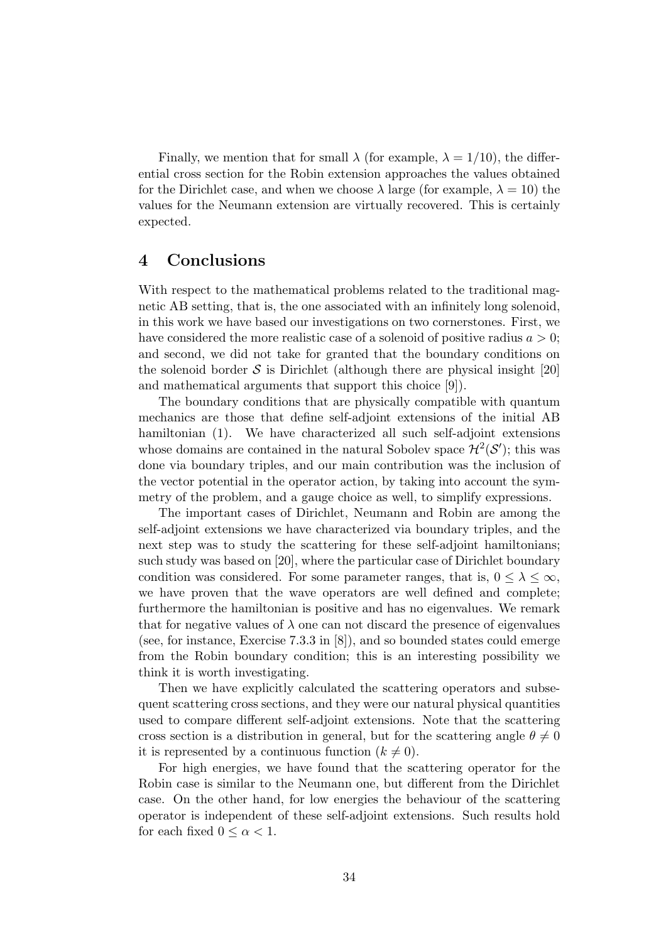Finally, we mention that for small  $\lambda$  (for example,  $\lambda = 1/10$ ), the differential cross section for the Robin extension approaches the values obtained for the Dirichlet case, and when we choose  $\lambda$  large (for example,  $\lambda = 10$ ) the values for the Neumann extension are virtually recovered. This is certainly expected.

### 4 Conclusions

With respect to the mathematical problems related to the traditional magnetic AB setting, that is, the one associated with an infinitely long solenoid, in this work we have based our investigations on two cornerstones. First, we have considered the more realistic case of a solenoid of positive radius  $a > 0$ ; and second, we did not take for granted that the boundary conditions on the solenoid border  $\mathcal S$  is Dirichlet (although there are physical insight [20] and mathematical arguments that support this choice [9]).

The boundary conditions that are physically compatible with quantum mechanics are those that define self-adjoint extensions of the initial AB hamiltonian (1). We have characterized all such self-adjoint extensions whose domains are contained in the natural Sobolev space  $\mathcal{H}^2(\mathcal{S}')$ ; this was done via boundary triples, and our main contribution was the inclusion of the vector potential in the operator action, by taking into account the symmetry of the problem, and a gauge choice as well, to simplify expressions.

The important cases of Dirichlet, Neumann and Robin are among the self-adjoint extensions we have characterized via boundary triples, and the next step was to study the scattering for these self-adjoint hamiltonians; such study was based on [20], where the particular case of Dirichlet boundary condition was considered. For some parameter ranges, that is,  $0 \leq \lambda \leq \infty$ , we have proven that the wave operators are well defined and complete; furthermore the hamiltonian is positive and has no eigenvalues. We remark that for negative values of  $\lambda$  one can not discard the presence of eigenvalues (see, for instance, Exercise 7.3.3 in [8]), and so bounded states could emerge from the Robin boundary condition; this is an interesting possibility we think it is worth investigating.

Then we have explicitly calculated the scattering operators and subsequent scattering cross sections, and they were our natural physical quantities used to compare different self-adjoint extensions. Note that the scattering cross section is a distribution in general, but for the scattering angle  $\theta \neq 0$ it is represented by a continuous function  $(k \neq 0)$ .

For high energies, we have found that the scattering operator for the Robin case is similar to the Neumann one, but different from the Dirichlet case. On the other hand, for low energies the behaviour of the scattering operator is independent of these self-adjoint extensions. Such results hold for each fixed  $0 \leq \alpha \leq 1$ .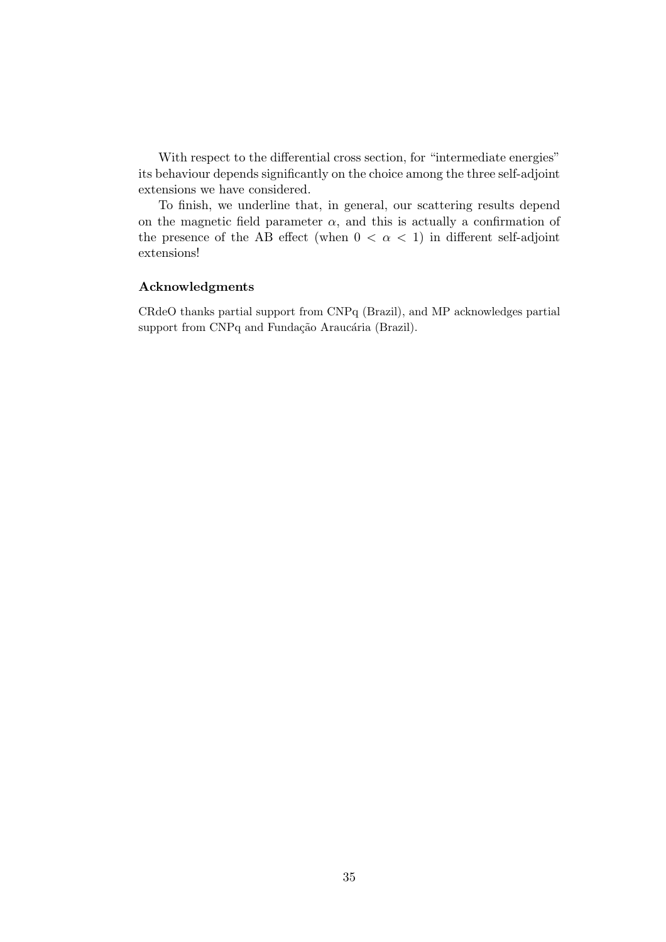With respect to the differential cross section, for "intermediate energies" its behaviour depends significantly on the choice among the three self-adjoint extensions we have considered.

To finish, we underline that, in general, our scattering results depend on the magnetic field parameter  $\alpha$ , and this is actually a confirmation of the presence of the AB effect (when  $0 < \alpha < 1$ ) in different self-adjoint extensions!

### Acknowledgments

CRdeO thanks partial support from CNPq (Brazil), and MP acknowledges partial support from CNPq and Fundação Araucária (Brazil).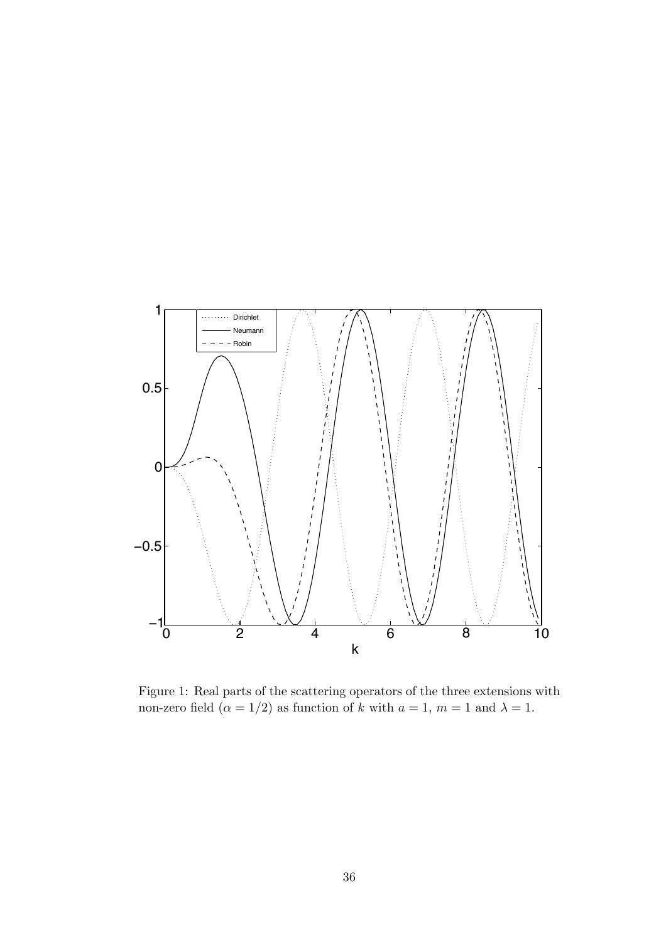

Figure 1: Real parts of the scattering operators of the three extensions with non-zero field  $(\alpha = 1/2)$  as function of k with  $a = 1$ ,  $m = 1$  and  $\lambda = 1$ .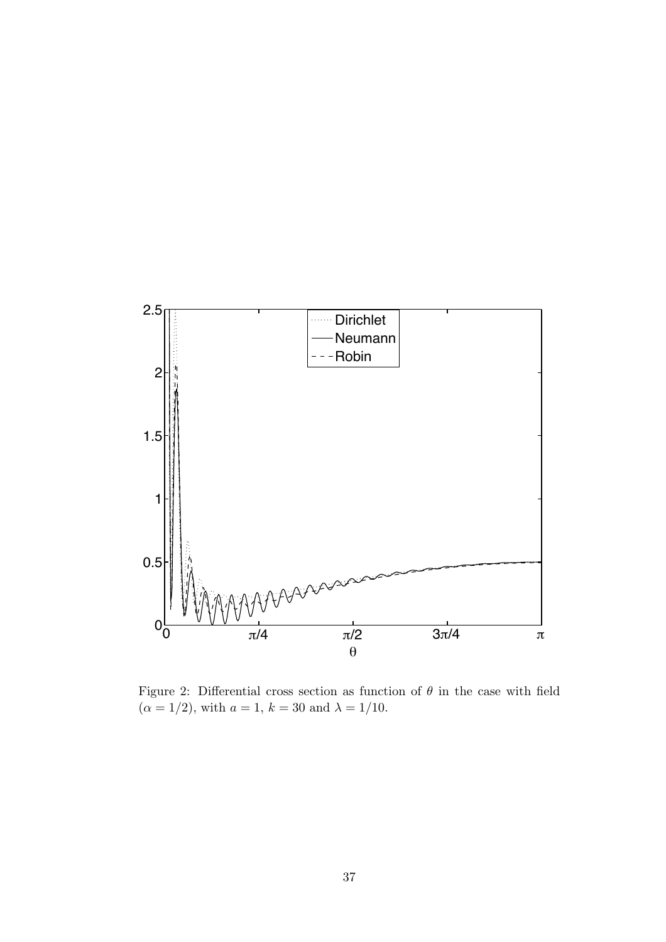

Figure 2: Differential cross section as function of  $\theta$  in the case with field  $(\alpha = 1/2)$ , with  $a = 1$ ,  $k = 30$  and  $\lambda = 1/10$ .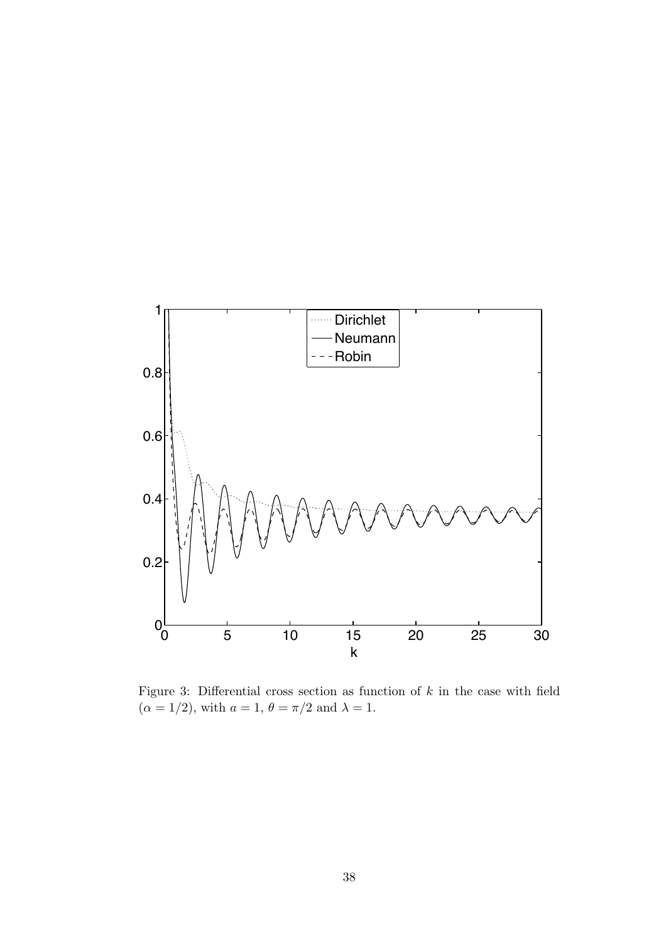

Figure 3: Differential cross section as function of  $k$  in the case with field  $(\alpha = 1/2)$ , with  $a = 1$ ,  $\theta = \pi/2$  and  $\lambda = 1$ .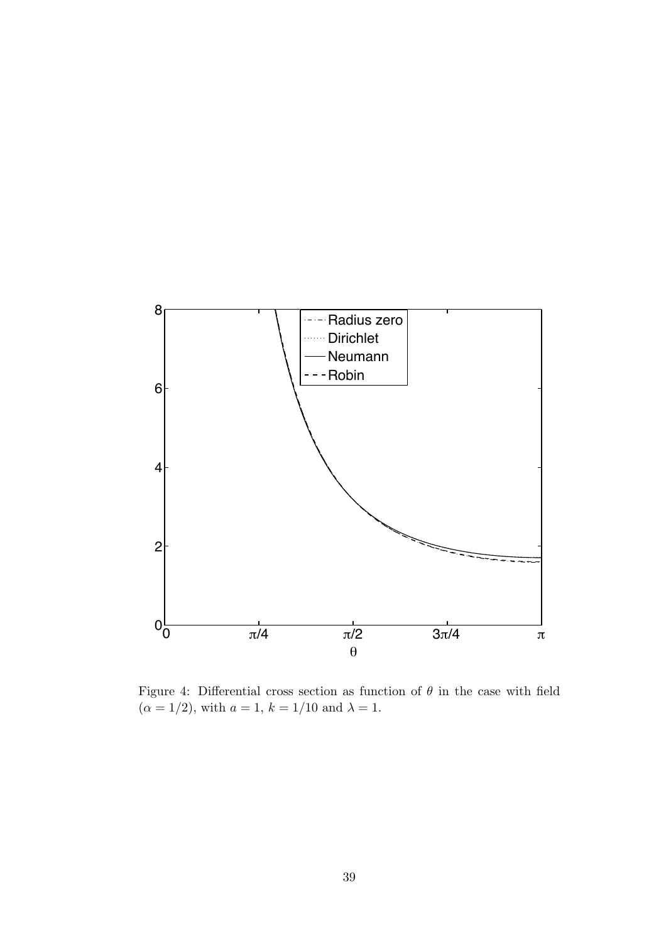

Figure 4: Differential cross section as function of  $\theta$  in the case with field  $(\alpha = 1/2)$ , with  $a = 1$ ,  $k = 1/10$  and  $\lambda = 1$ .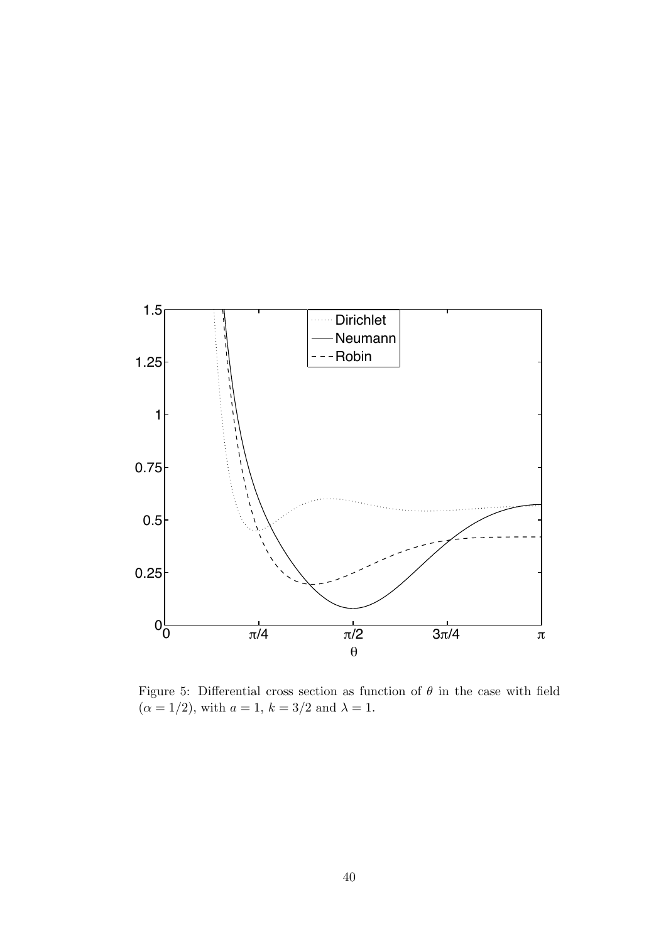

Figure 5: Differential cross section as function of  $\theta$  in the case with field  $(\alpha = 1/2)$ , with  $a = 1$ ,  $k = 3/2$  and  $\lambda = 1$ .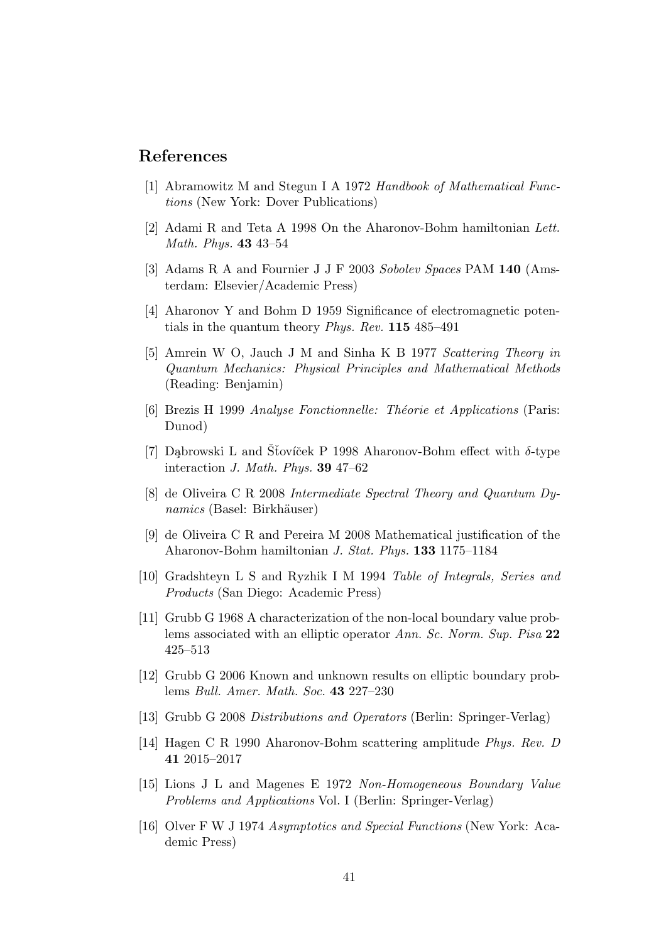# References

- [1] Abramowitz M and Stegun I A 1972 Handbook of Mathematical Functions (New York: Dover Publications)
- [2] Adami R and Teta A 1998 On the Aharonov-Bohm hamiltonian Lett. Math. Phys. 43 43–54
- [3] Adams R A and Fournier J J F 2003 Sobolev Spaces PAM 140 (Amsterdam: Elsevier/Academic Press)
- [4] Aharonov Y and Bohm D 1959 Significance of electromagnetic potentials in the quantum theory Phys. Rev. 115 485–491
- [5] Amrein W O, Jauch J M and Sinha K B 1977 Scattering Theory in Quantum Mechanics: Physical Principles and Mathematical Methods (Reading: Benjamin)
- [6] Brezis H 1999 Analyse Fonctionnelle: Théorie et Applications (Paris: Dunod)
- [7] Dabrowski L and Stovíček P 1998 Aharonov-Bohm effect with  $\delta$ -type interaction J. Math. Phys. 39 47–62
- [8] de Oliveira C R 2008 Intermediate Spectral Theory and Quantum Dy $nanics$  (Basel: Birkhäuser)
- [9] de Oliveira C R and Pereira M 2008 Mathematical justification of the Aharonov-Bohm hamiltonian J. Stat. Phys. 133 1175–1184
- [10] Gradshteyn L S and Ryzhik I M 1994 Table of Integrals, Series and Products (San Diego: Academic Press)
- [11] Grubb G 1968 A characterization of the non-local boundary value problems associated with an elliptic operator Ann. Sc. Norm. Sup. Pisa 22 425–513
- [12] Grubb G 2006 Known and unknown results on elliptic boundary problems Bull. Amer. Math. Soc. 43 227–230
- [13] Grubb G 2008 Distributions and Operators (Berlin: Springer-Verlag)
- [14] Hagen C R 1990 Aharonov-Bohm scattering amplitude Phys. Rev. D 41 2015–2017
- [15] Lions J L and Magenes E 1972 Non-Homogeneous Boundary Value Problems and Applications Vol. I (Berlin: Springer-Verlag)
- [16] Olver F W J 1974 Asymptotics and Special Functions (New York: Academic Press)